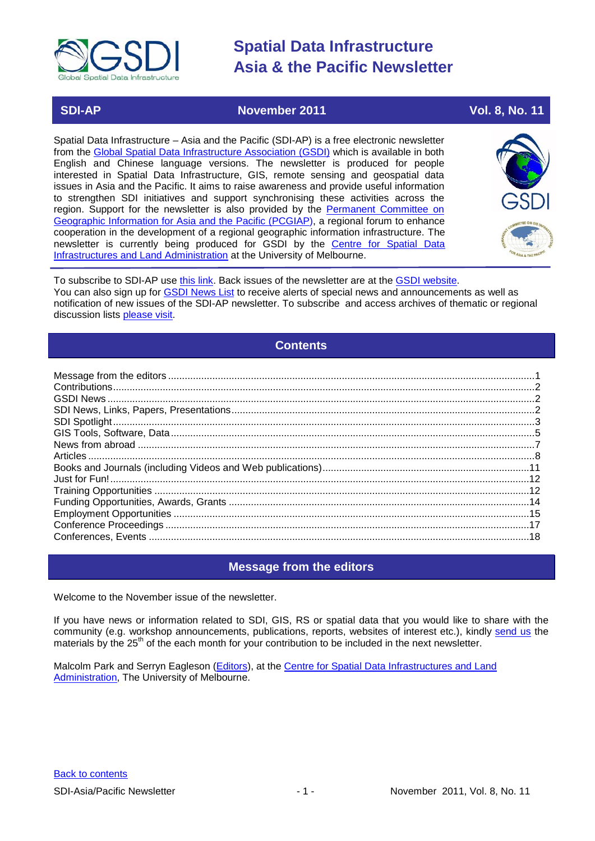

### **SDI-AP November 2011 November 2011 Vol. 8, No. 11**

Spatial Data Infrastructure – Asia and the Pacific (SDI-AP) is a free electronic newsletter from the [Global Spatial Data Infrastructure Association \(GSDI\)](http://www.gsdi.org/) which is available in both English and Chinese language versions. The newsletter is produced for people interested in Spatial Data Infrastructure, GIS, remote sensing and geospatial data issues in Asia and the Pacific. It aims to raise awareness and provide useful information to strengthen SDI initiatives and support synchronising these activities across the region. Support for the newsletter is also provided by the Permanent Committee on [Geographic Information for Asia and the Pacific \(PCGIAP\)](http://www.pcgiap.org/), a regional forum to enhance cooperation in the development of a regional geographic information infrastructure. The newsletter is currently being produced for GSDI by the [Centre for Spatial Data](http://www.csdila.unimelb.edu.au/)  [Infrastructures and Land Administration](http://www.csdila.unimelb.edu.au/) at the University of Melbourne.



To subscribe to SDI-AP use [this link.](http://www.gsdi.org/newslist/gsdisubscribe.asp) Back issues of the newsletter are at the [GSDI website.](http://www.gsdi.org/newsletters.asp) You can also sign up for **GSDI News List** to receive alerts of special news and announcements as well as notification of new issues of the SDI-AP newsletter. To subscribe and access archives of thematic or regional discussion lists [please visit.](http://www.gsdi.org/discussionlists.asp)

### **Contents**

<span id="page-0-0"></span>

### **Message from the editors**

<span id="page-0-1"></span>Welcome to the November issue of the newsletter.

If you have news or information related to SDI, GIS, RS or spatial data that you would like to share with the community (e.g. workshop announcements, publications, reports, websites of interest etc.), kindly [send us](mailto:.SDI-AP@gsdi.org) the materials by the 25<sup>th</sup> of the each month for your contribution to be included in the next newsletter.

Malcolm Park and Serryn Eagleson [\(Editors\)](mailto:Editor.SDIAP@gmail.com), at the Centre for Spatial Data Infrastructures and Land [Administration,](http://www.csdila.unimelb.edu.au/) The University of Melbourne.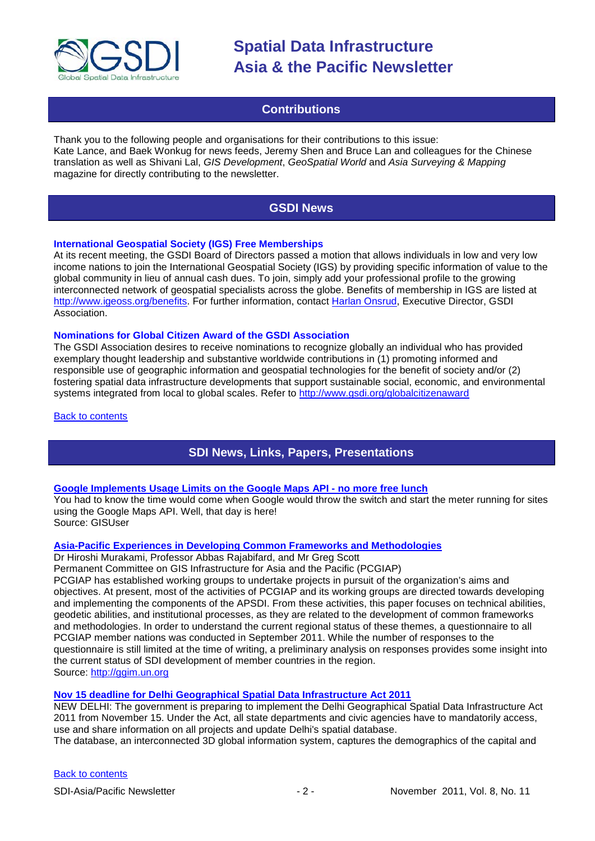

### **Contributions**

<span id="page-1-0"></span>Thank you to the following people and organisations for their contributions to this issue: Kate Lance, and Baek Wonkug for news feeds, Jeremy Shen and Bruce Lan and colleagues for the Chinese translation as well as Shivani Lal, *GIS Development*, *GeoSpatial World* and *Asia Surveying & Mapping* magazine for directly contributing to the newsletter.

### **GSDI News**

#### <span id="page-1-1"></span>**International Geospatial Society (IGS) Free Memberships**

At its recent meeting, the GSDI Board of Directors passed a motion that allows individuals in low and very low income nations to join the International Geospatial Society (IGS) by providing specific information of value to the global community in lieu of annual cash dues. To join, simply add your professional profile to the growing interconnected network of geospatial specialists across the globe. Benefits of membership in IGS are listed at [http://www.igeoss.org/benefits.](https://owa.unimelb.edu.au/owa/redir.aspx?C=54c2b4d3973d480282dc7c38384f4204&URL=http%3a%2f%2fwww.igeoss.org%2fbenefits) For further information, contact [Harlan Onsrud,](mailto:onsrud@gsdi.org) Executive Director, GSDI Association.

#### **Nominations for Global Citizen Award of the GSDI Association**

The GSDI Association desires to receive nominations to recognize globally an individual who has provided exemplary thought leadership and substantive worldwide contributions in (1) promoting informed and responsible use of geographic information and geospatial technologies for the benefit of society and/or (2) fostering spatial data infrastructure developments that support sustainable social, economic, and environmental systems integrated from local to global scales. Refer to<http://www.gsdi.org/globalcitizenaward>

<span id="page-1-2"></span>**[Back to contents](#page-0-0)** 

### **SDI News, Links, Papers, Presentations**

#### **[Google Implements Usage Limits on the Google Maps API -](http://www.gisuser.com/content/view/24946/2/) no more free lunch**

You had to know the time would come when Google would throw the switch and start the meter running for sites using the Google Maps API. Well, that day is here! Source: GISUser

#### **[Asia-Pacific Experiences in Developing Common Frameworks and Methodologies](http://ggim.un.org/)**

Dr Hiroshi Murakami, Professor Abbas Rajabifard, and Mr Greg Scott

Permanent Committee on GIS Infrastructure for Asia and the Pacific (PCGIAP)

PCGIAP has established working groups to undertake projects in pursuit of the organization's aims and objectives. At present, most of the activities of PCGIAP and its working groups are directed towards developing and implementing the components of the APSDI. From these activities, this paper focuses on technical abilities, geodetic abilities, and institutional processes, as they are related to the development of common frameworks and methodologies. In order to understand the current regional status of these themes, a questionnaire to all PCGIAP member nations was conducted in September 2011. While the number of responses to the questionnaire is still limited at the time of writing, a preliminary analysis on responses provides some insight into the current status of SDI development of member countries in the region. Source: [http://ggim.un.org](http://ggim.un.org/)

#### **[Nov 15 deadline for Delhi Geographical Spatial Data Infrastructure Act 2011](http://articles.timesofindia.indiatimes.com/2011-10-17/delhi/30289139_1_database-information-system-urban-planning)**

NEW DELHI: The government is preparing to implement the Delhi Geographical Spatial Data Infrastructure Act 2011 from November 15. Under the Act, all state departments and civic agencies have to mandatorily access, use and share information on all projects and update Delhi's spatial database.

The database, an interconnected 3D global information system, captures the demographics of the capital and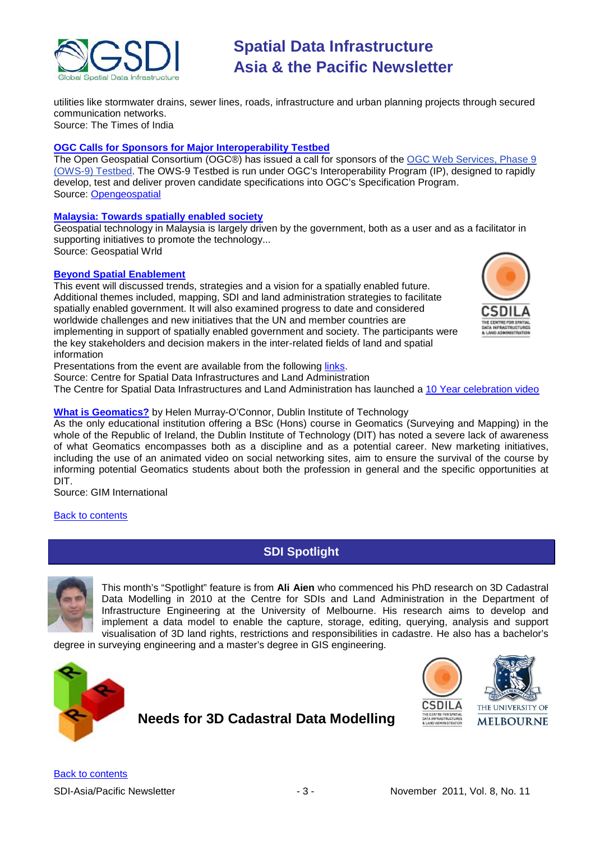

utilities like stormwater drains, sewer lines, roads, infrastructure and urban planning projects through secured communication networks. Source: The Times of India

**[OGC Calls for Sponsors for Major Interoperability Testbed](http://www.opengeospatial.org/pressroom/pressreleases/1491)**

The Open Geospatial Consortium (OGC®) has issued a call for sponsors of the [OGC Web Services, Phase 9](http://www.opengeospatial.org/projects/initiatives/ows-9)  [\(OWS-9\) Testbed.](http://www.opengeospatial.org/projects/initiatives/ows-9) The OWS-9 Testbed is run under OGC's Interoperability Program (IP), designed to rapidly develop, test and deliver proven candidate specifications into OGC's Specification Program. Source: [Opengeospatial](http://www.opengeospatial.org/pressroom/pressreleases/1491)

#### **[Malaysia: Towards spatially enabled society](http://www.geospatialworld.net/index.php?option=com_content&view=article&id=23290)**

Geospatial technology in Malaysia is largely driven by the government, both as a user and as a facilitator in supporting initiatives to promote the technology... Source: Geospatial Wrld

#### **[Beyond Spatial Enablement](http://csdila.unimelb.edu.au/BeyondSpatialEnablement/programme.html)**

This event will discussed trends, strategies and a vision for a spatially enabled future. Additional themes included, mapping, SDI and land administration strategies to facilitate spatially enabled government. It will also examined progress to date and considered worldwide challenges and new initiatives that the UN and member countries are implementing in support of spatially enabled government and society. The participants were the key stakeholders and decision makers in the inter-related fields of land and spatial information



Source: Centre for Spatial Data Infrastructures and Land Administration

The Centre for Spatial Data Infrastructures and Land Administration has launched a [10 Year celebration video](http://www.youtube.com/watch?v=puvh7U3ci3c&feature=youtube_gdata)

#### **[What is Geomatics?](http://www.gim-international.com/issues/articles/id1781-What_is_Geomatics.html)** by Helen Murray-O'Connor, Dublin Institute of Technology

As the only educational institution offering a BSc (Hons) course in Geomatics (Surveying and Mapping) in the whole of the Republic of Ireland, the Dublin Institute of Technology (DIT) has noted a severe lack of awareness of what Geomatics encompasses both as a discipline and as a potential career. New marketing initiatives, including the use of an animated video on social networking sites, aim to ensure the survival of the course by informing potential Geomatics students about both the profession in general and the specific opportunities at DIT.

Source: GIM International

#### <span id="page-2-0"></span>[Back to contents](#page-0-0)

### **SDI Spotlight**



This month's "Spotlight" feature is from **Ali Aien** who commenced his PhD research on 3D Cadastral Data Modelling in 2010 at the Centre for SDIs and Land Administration in the Department of Infrastructure Engineering at the University of Melbourne. His research aims to develop and implement a data model to enable the capture, storage, editing, querying, analysis and support visualisation of 3D land rights, restrictions and responsibilities in cadastre. He also has a bachelor's

degree in surveying engineering and a master's degree in GIS engineering.



**Needs for 3D Cadastral Data Modelling**



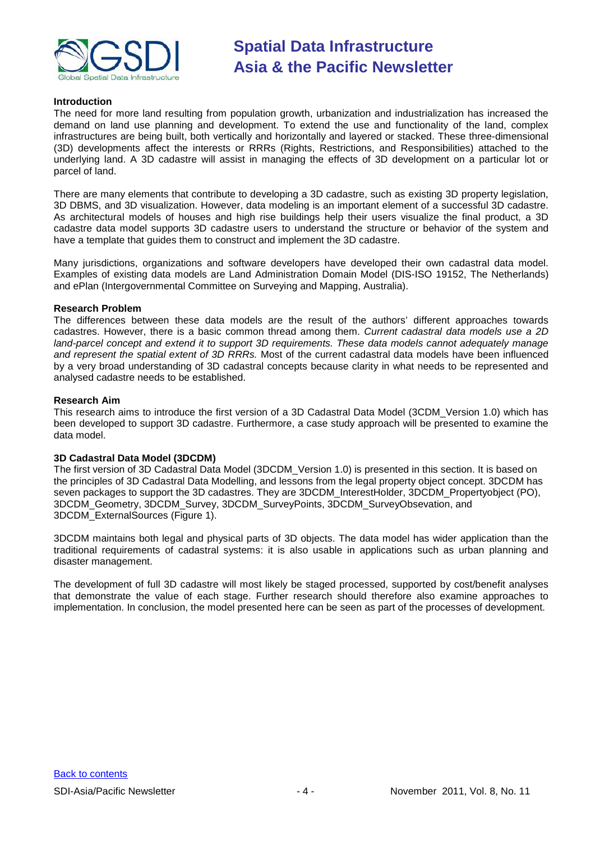

#### **Introduction**

The need for more land resulting from population growth, urbanization and industrialization has increased the demand on land use planning and development. To extend the use and functionality of the land, complex infrastructures are being built, both vertically and horizontally and layered or stacked. These three-dimensional (3D) developments affect the interests or RRRs (Rights, Restrictions, and Responsibilities) attached to the underlying land. A 3D cadastre will assist in managing the effects of 3D development on a particular lot or parcel of land.

There are many elements that contribute to developing a 3D cadastre, such as existing 3D property legislation, 3D DBMS, and 3D visualization. However, data modeling is an important element of a successful 3D cadastre. As architectural models of houses and high rise buildings help their users visualize the final product, a 3D cadastre data model supports 3D cadastre users to understand the structure or behavior of the system and have a template that guides them to construct and implement the 3D cadastre.

Many jurisdictions, organizations and software developers have developed their own cadastral data model. Examples of existing data models are Land Administration Domain Model (DIS-ISO 19152, The Netherlands) and ePlan (Intergovernmental Committee on Surveying and Mapping, Australia).

#### **Research Problem**

The differences between these data models are the result of the authors' different approaches towards cadastres. However, there is a basic common thread among them. *Current cadastral data models use a 2D land-parcel concept and extend it to support 3D requirements. These data models cannot adequately manage and represent the spatial extent of 3D RRRs.* Most of the current cadastral data models have been influenced by a very broad understanding of 3D cadastral concepts because clarity in what needs to be represented and analysed cadastre needs to be established.

#### **Research Aim**

This research aims to introduce the first version of a 3D Cadastral Data Model (3CDM\_Version 1.0) which has been developed to support 3D cadastre. Furthermore, a case study approach will be presented to examine the data model.

#### **3D Cadastral Data Model (3DCDM)**

The first version of 3D Cadastral Data Model (3DCDM\_Version 1.0) is presented in this section. It is based on the principles of 3D Cadastral Data Modelling, and lessons from the legal property object concept. 3DCDM has seven packages to support the 3D cadastres. They are 3DCDM\_InterestHolder, 3DCDM\_Propertyobject (PO), 3DCDM\_Geometry, 3DCDM\_Survey, 3DCDM\_SurveyPoints, 3DCDM\_SurveyObsevation, and 3DCDM\_ExternalSources (Figure 1).

3DCDM maintains both legal and physical parts of 3D objects. The data model has wider application than the traditional requirements of cadastral systems: it is also usable in applications such as urban planning and disaster management.

The development of full 3D cadastre will most likely be staged processed, supported by cost/benefit analyses that demonstrate the value of each stage. Further research should therefore also examine approaches to implementation. In conclusion, the model presented here can be seen as part of the processes of development.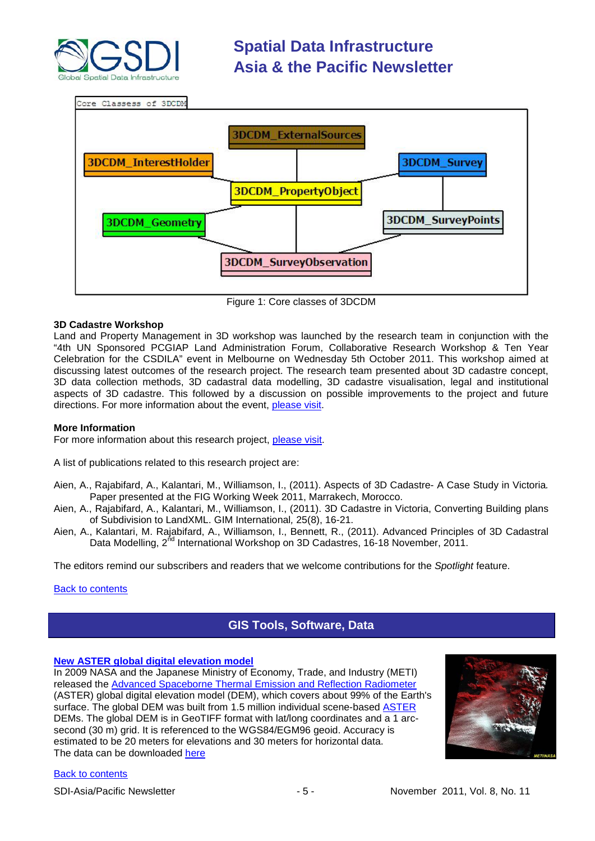



Figure 1: Core classes of 3DCDM

#### **3D Cadastre Workshop**

Land and Property Management in 3D workshop was launched by the research team in conjunction with the "4th UN Sponsored PCGIAP Land Administration Forum, Collaborative Research Workshop & Ten Year Celebration for the CSDILA" event in Melbourne on Wednesday 5th October 2011. This workshop aimed at discussing latest outcomes of the research project. The research team presented about 3D cadastre concept, 3D data collection methods, 3D cadastral data modelling, 3D cadastre visualisation, legal and institutional aspects of 3D cadastre. This followed by a discussion on possible improvements to the project and future directions. For more information about the event, [please visit.](http://csdila.unimelb.edu.au/BeyondSpatialEnablement/Home.html)

#### **More Information**

For more information about this research project, [please visit.](http://www.csdila.unimelb.edu.au/3DCadastre/3Dcadastre.html)

A list of publications related to this research project are:

- Aien, A., Rajabifard, A., Kalantari, M., Williamson, I., (2011). Aspects of 3D Cadastre- A Case Study in Victoria*.* Paper presented at the FIG Working Week 2011, Marrakech, Morocco.
- Aien, A., Rajabifard, A., Kalantari, M., Williamson, I., (2011). 3D Cadastre in Victoria, Converting Building plans of Subdivision to LandXML. GIM International*,* 25(8), 16-21.
- Aien, A., Kalantari, M. Rajabifard, A., Williamson, I., Bennett, R., (2011). Advanced Principles of 3D Cadastral Data Modelling, 2<sup>nd</sup> International Workshop on 3D Cadastres, 16-18 November, 2011.

The editors remind our subscribers and readers that we welcome contributions for the *Spotlight* feature.

#### <span id="page-4-0"></span>[Back to contents](#page-0-0)

### **GIS Tools, Software, Data**

#### **[New ASTER global digital elevation model](http://geospatial.blogs.com/geospatial/2011/10/new-aster-global-digital-elevation-model.html?utm_source=feedburner&utm_medium=feed&utm_campaign=Feed%3A+typepad%2Fzeissg%2Fgeospatial+%28Between+the+Poles%29&utm_content=Google+Reader)**

In 2009 NASA and the Japanese Ministry of Economy, Trade, and Industry (METI) released the [Advanced Spaceborne Thermal Emission and Reflection Radiometer](http://geospatial.blogs.com/geospatial/2009/06/aster-global-elevation-model-released-by-nasa-and-meti.html) (ASTER) global digital elevation model (DEM), which covers about 99% of the Earth's surface. The global DEM was built from 1.5 million individual scene-based [ASTER](http://asterweb.jpl.nasa.gov/) DEMs. The global DEM is in GeoTIFF format with lat/long coordinates and a 1 arcsecond (30 m) grid. It is referenced to the WGS84/EGM96 geoid. Accuracy is estimated to be 20 meters for elevations and 30 meters for horizontal data. The data can be downloaded [here](http://demex.cr.usgs.gov/DEMEX/)

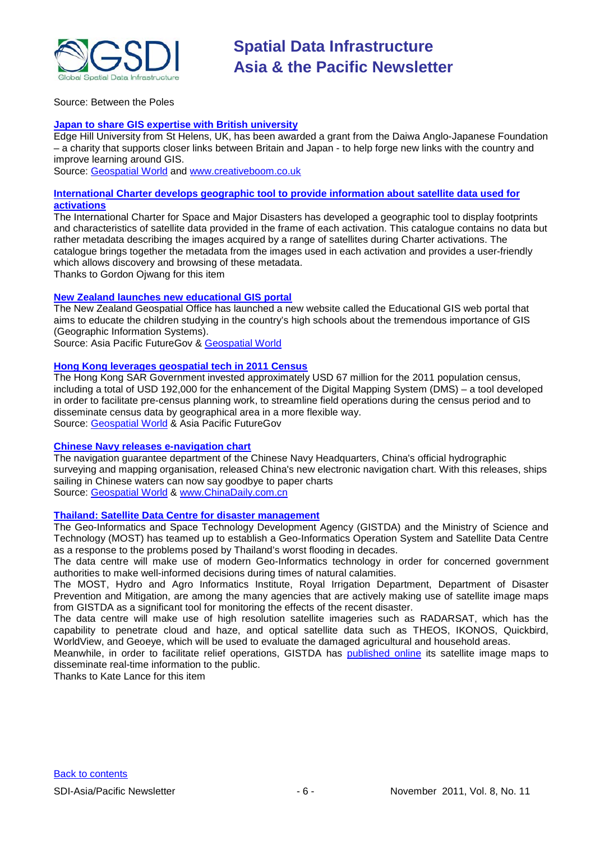

Source: Between the Poles

#### **[Japan to share GIS expertise with British university](http://www.creativeboom.co.uk/north-west/news/new-partnership-with-japan-to-increase-employability-opportunities/)**

Edge Hill University from St Helens, UK, has been awarded a grant from the Daiwa Anglo-Japanese Foundation – a charity that supports closer links between Britain and Japan - to help forge new links with the country and improve learning around GIS.

Source: [Geospatial World](http://www.geospatialworld.net/index.php?option=com_content&view=article&id=23044%3Ajapan-to-share-gis-expertise-with-british-univ&catid=77%3Amiscellaneous-education&Itemid=1) and [www.creativeboom.co.uk](http://www.creativeboom.co.uk/)

#### **[International Charter develops geographic tool to provide information about satellite data used for](http://www.disasterschartercatalog.org/cecec/ie/index.html)  [activations](http://www.disasterschartercatalog.org/cecec/ie/index.html)**

The International Charter for Space and Major Disasters has developed a geographic tool to display footprints and characteristics of satellite data provided in the frame of each activation. This catalogue contains no data but rather metadata describing the images acquired by a range of satellites during Charter activations. The catalogue brings together the metadata from the images used in each activation and provides a user-friendly which allows discovery and browsing of these metadata.

Thanks to Gordon Ojwang for this item

#### **[New Zealand launches new educational GIS portal](http://www.futuregov.asia/articles/2011/oct/05/nz-launches-educational-gis-portal/)**

The New Zealand Geospatial Office has launched a new website called the Educational GIS web portal that aims to educate the children studying in the country's high schools about the tremendous importance of GIS (Geographic Information Systems).

Source: Asia Pacific FutureGov & [Geospatial World](http://www.geospatialworld.net/index.php?option=com_content&view=article&id=23187%3Anew-zealand-launches-new-educational-gis-portal&catid=77%3Amiscellaneous-education&Itemid=1)

#### **[Hong Kong leverages geospatial tech in 2011 Census](http://www.futuregov.asia/articles/2011/sep/07/hk-leverages-digital-mapping-system-2011-census/)**

The Hong Kong SAR Government invested approximately USD 67 million for the 2011 population census, including a total of USD 192,000 for the enhancement of the Digital Mapping System (DMS) – a tool developed in order to facilitate pre-census planning work, to streamline field operations during the census period and to disseminate census data by geographical area in a more flexible way. Source: [Geospatial World](http://www.geospatialworld.net/index.php?option=com_content&view=article&id=23014%3Ahong-kong-leverages-geospatial-tech-in-2011-census&catid=62%3Aapplication-e-governance&Itemid=1) & Asia Pacific FutureGov

#### **[Chinese Navy releases e-navigation chart](http://www.chinadaily.com.cn/cndy/2011-08/26/content_13194657.htm)**

The navigation guarantee department of the Chinese Navy Headquarters, China's official hydrographic surveying and mapping organisation, released China's new electronic navigation chart. With this releases, ships sailing in Chinese waters can now say goodbye to paper charts Source: [Geospatial World](http://www.geospatialworld.net/index.php?option=com_content&view=article&id=22940%3Achinese-navy-releases-e-navigation-chart&catid=61%3Aapplication-transportation-navigation&Itemid=1) & [www.ChinaDaily.com.cn](http://www.chinadaily.com.cn/)

#### **[Thailand: Satellite Data Centre for disaster management](http://www.futuregov.asia/articles/2011/oct/19/thailand-establishes-satellite-data-centre-disaste/)**

The Geo-Informatics and Space Technology Development Agency (GISTDA) and the Ministry of Science and Technology (MOST) has teamed up to establish a Geo-Informatics Operation System and Satellite Data Centre as a response to the problems posed by Thailand's worst flooding in decades.

The data centre will make use of modern Geo-Informatics technology in order for concerned government authorities to make well-informed decisions during times of natural calamities.

The MOST, Hydro and Agro Informatics Institute, Royal Irrigation Department, Department of Disaster Prevention and Mitigation, are among the many agencies that are actively making use of satellite image maps from GISTDA as a significant tool for monitoring the effects of the recent disaster.

The data centre will make use of high resolution satellite imageries such as RADARSAT, which has the capability to penetrate cloud and haze, and optical satellite data such as THEOS, IKONOS, Quickbird, WorldView, and Geoeve, which will be used to evaluate the damaged agricultural and household areas.

Meanwhile, in order to facilitate relief operations, GISTDA has [published online](http://flood.gistda.or.th/) its satellite image maps to disseminate real-time information to the public.

Thanks to Kate Lance for this item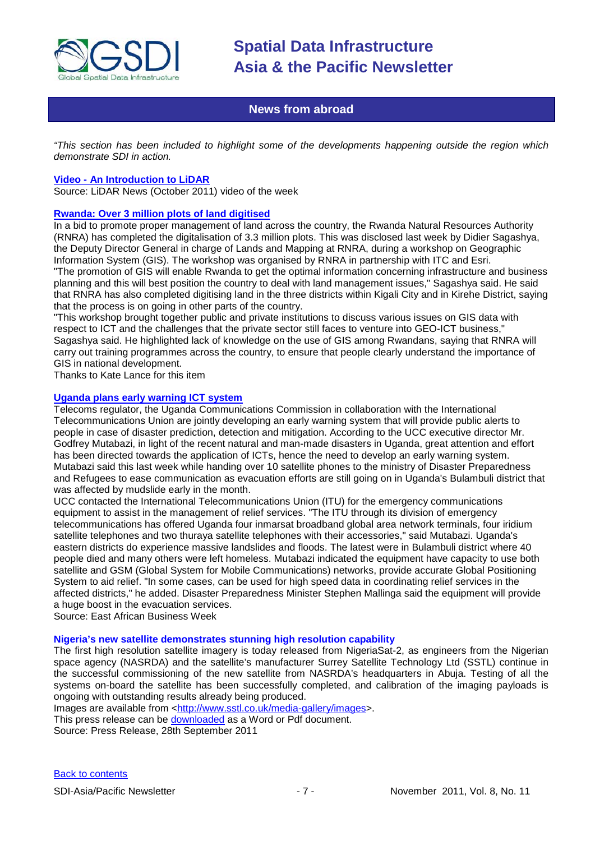

### **News from abroad**

<span id="page-6-0"></span>*"This section has been included to highlight some of the developments happening outside the region which demonstrate SDI in action.*

#### **Video - [An Introduction to LiDAR](http://www.lidarnews.com/content/view/8596/192/)**

Source: LiDAR News (October 2011) video of the week

#### **[Rwanda: Over 3 million plots of land digitised](http://www.newtimes.co.rw/index.php?issue=14771&article=45965)**

In a bid to promote proper management of land across the country, the Rwanda Natural Resources Authority (RNRA) has completed the digitalisation of 3.3 million plots. This was disclosed last week by Didier Sagashya, the Deputy Director General in charge of Lands and Mapping at RNRA, during a workshop on Geographic Information System (GIS). The workshop was organised by RNRA in partnership with ITC and Esri. "The promotion of GIS will enable Rwanda to get the optimal information concerning infrastructure and business planning and this will best position the country to deal with land management issues," Sagashya said. He said that RNRA has also completed digitising land in the three districts within Kigali City and in Kirehe District, saying that the process is on going in other parts of the country.

"This workshop brought together public and private institutions to discuss various issues on GIS data with respect to ICT and the challenges that the private sector still faces to venture into GEO-ICT business," Sagashya said. He highlighted lack of knowledge on the use of GIS among Rwandans, saying that RNRA will carry out training programmes across the country, to ensure that people clearly understand the importance of GIS in national development.

Thanks to Kate Lance for this item

#### **[Uganda plans early warning ICT system](http://www.busiweek.com/11/science-a-technology/technology/1696-uganda-plans-early-warning-ict-system-)**

Telecoms regulator, the Uganda Communications Commission in collaboration with the International Telecommunications Union are jointly developing an early warning system that will provide public alerts to people in case of disaster prediction, detection and mitigation. According to the UCC executive director Mr. Godfrey Mutabazi, in light of the recent natural and man-made disasters in Uganda, great attention and effort has been directed towards the application of ICTs, hence the need to develop an early warning system. Mutabazi said this last week while handing over 10 satellite phones to the ministry of Disaster Preparedness and Refugees to ease communication as evacuation efforts are still going on in Uganda's Bulambuli district that was affected by mudslide early in the month.

UCC contacted the International Telecommunications Union (ITU) for the emergency communications equipment to assist in the management of relief services. "The ITU through its division of emergency telecommunications has offered Uganda four inmarsat broadband global area network terminals, four iridium satellite telephones and two thuraya satellite telephones with their accessories," said Mutabazi. Uganda's eastern districts do experience massive landslides and floods. The latest were in Bulambuli district where 40 people died and many others were left homeless. Mutabazi indicated the equipment have capacity to use both satellite and GSM (Global System for Mobile Communications) networks, provide accurate Global Positioning System to aid relief. "In some cases, can be used for high speed data in coordinating relief services in the affected districts," he added. Disaster Preparedness Minister Stephen Mallinga said the equipment will provide a huge boost in the evacuation services.

Source: East African Business Week

#### **Nigeria's new satellite demonstrates stunning high resolution capability**

The first high resolution satellite imagery is today released from NigeriaSat-2, as engineers from the Nigerian space agency (NASRDA) and the satellite's manufacturer Surrey Satellite Technology Ltd (SSTL) continue in the successful commissioning of the new satellite from NASRDA's headquarters in Abuja. Testing of all the systems on-board the satellite has been successfully completed, and calibration of the imaging payloads is ongoing with outstanding results already being produced.

Images are available from [<http://www.sstl.co.uk/media-gallery/images>](http://www.sstl.co.uk/media-gallery/images).

This press release can be [downloaded](http://www.sstl.co.uk/news-and-events) as a Word or Pdf document.

Source: Press Release, 28th September 2011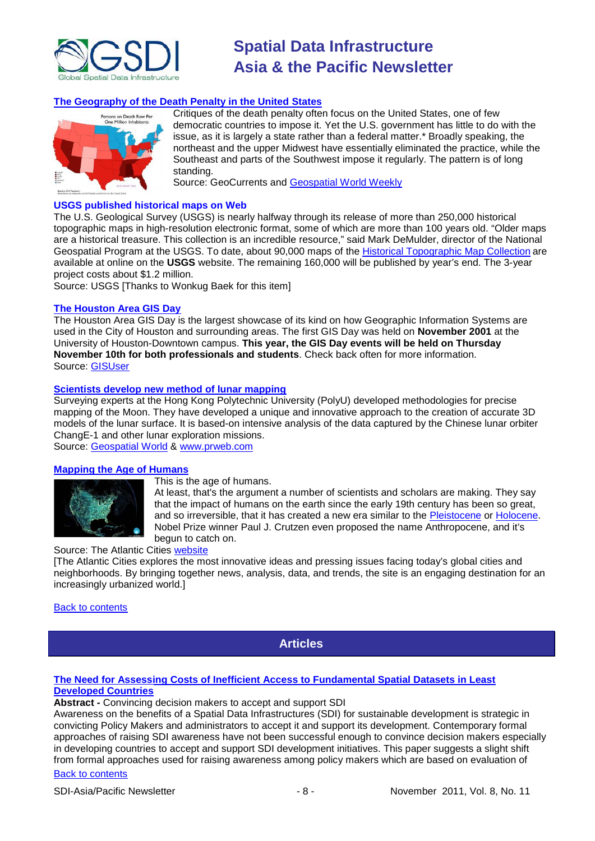

#### **[The Geography of the Death Penalty in the United States](http://geocurrents.info/place/north-america/the-geography-of-the-death-penalty-in-the-united-states)**



Critiques of the death penalty often focus on the United States, one of few democratic countries to impose it. Yet the U.S. government has little to do with the issue, as it is largely a state rather than a federal matter.\* Broadly speaking, the northeast and the upper Midwest have essentially eliminated the practice, while the Southeast and parts of the Southwest impose it regularly. The pattern is of long standing.

Source: GeoCurrents and [Geospatial World Weekly](http://www.geospatialworld.net/newsletter/weekly_newsletter/oct2411.htm)

#### **USGS published historical maps on Web**

The U.S. Geological Survey (USGS) is nearly halfway through its release of more than 250,000 historical topographic maps in high-resolution electronic format, some of which are more than 100 years old. "Older maps are a historical treasure. This collection is an incredible resource," said Mark DeMulder, director of the National Geospatial Program at the USGS. To date, about 90,000 maps of the [Historical Topographic Map Collection](http://nationalmap.gov/historical/) are available at online on the **USGS** website. The remaining 160,000 will be published by year's end. The 3-year project costs about \$1.2 million.

Source: USGS [Thanks to Wonkug Baek for this item]

#### **[The Houston Area GIS Day](http://www.houstonareagisday.org/index.htm)**

The Houston Area GIS Day is the largest showcase of its kind on how Geographic Information Systems are used in the City of Houston and surrounding areas. The first GIS Day was held on **November 2001** at the University of Houston-Downtown campus. **This year, the GIS Day events will be held on Thursday November 10th for both professionals and students**. Check back often for more information. Source: [GISUser](http://www.gisuser.com/content/view/24792/2/)

#### **[Scientists develop new method of lunar mapping](http://www.prweb.com/releases/2011/9/prweb8783058.htm)**

Surveying experts at the Hong Kong Polytechnic University (PolyU) developed methodologies for precise mapping of the Moon. They have developed a unique and innovative approach to the creation of accurate 3D models of the lunar surface. It is based-on intensive analysis of the data captured by the Chinese lunar orbiter ChangE-1 and other lunar exploration missions.

Source: [Geospatial World](http://www.geospatialworld.net/index.php?option=com_content&view=article&id=23029%3Ascientists-develop-new-method-of-lunar-mapping-&catid=74%3Amiscellaneous-research&Itemid=1) & [www.prweb.com](http://www.prweb.com/)

#### **[Mapping the Age of Humans](http://www.theatlanticcities.com/design/2011/10/mapping-age-of-humans/362/)**



This is the age of humans.

At least, that's the argument a number of scientists and scholars are making. They say that the impact of humans on the earth since the early 19th century has been so great, and so irreversible, that it has created a new era similar to the [Pleistocene](http://www.ucmp.berkeley.edu/quaternary/ple.html) or [Holocene.](http://www.ucmp.berkeley.edu/quaternary/hol.html) Nobel Prize winner Paul J. Crutzen even proposed the name Anthropocene, and it's begun to catch on.

#### Source: The Atlantic Cities [website](http://www.theatlanticcities.com/)

[The Atlantic Cities explores the most innovative ideas and pressing issues facing today's global cities and neighborhoods. By bringing together news, analysis, data, and trends, the site is an engaging destination for an increasingly urbanized world.]

#### <span id="page-7-0"></span>[Back to contents](#page-0-0)

**Articles**

#### **[The Need for Assessing Costs of Inefficient Access to Fundamental Spatial Datasets in Least](http://tech.mak.ac.ug/survey/agrc2011/wp-content/uploads/2011/08/The-Need-for-Assessing-Costs-of-Inefficient-Access-to-Fundamental-Spatial-Datasets-in-Least-Developed-Countries-Mwaikambo-and-Haggai.pdf)  [Developed Countries](http://tech.mak.ac.ug/survey/agrc2011/wp-content/uploads/2011/08/The-Need-for-Assessing-Costs-of-Inefficient-Access-to-Fundamental-Spatial-Datasets-in-Least-Developed-Countries-Mwaikambo-and-Haggai.pdf)**

**Abstract -** Convincing decision makers to accept and support SDI

Awareness on the benefits of a Spatial Data Infrastructures (SDI) for sustainable development is strategic in convicting Policy Makers and administrators to accept it and support its development. Contemporary formal approaches of raising SDI awareness have not been successful enough to convince decision makers especially in developing countries to accept and support SDI development initiatives. This paper suggests a slight shift from formal approaches used for raising awareness among policy makers which are based on evaluation of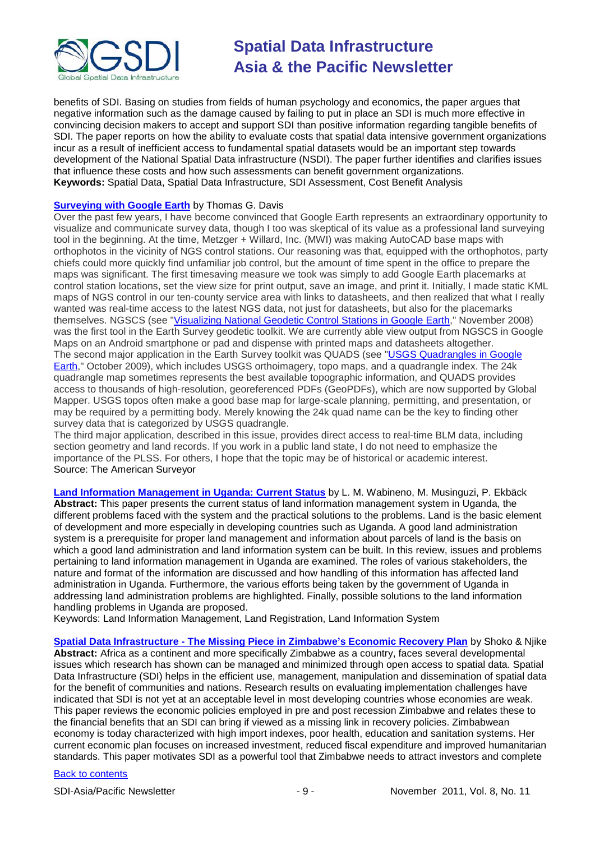

benefits of SDI. Basing on studies from fields of human psychology and economics, the paper argues that negative information such as the damage caused by failing to put in place an SDI is much more effective in convincing decision makers to accept and support SDI than positive information regarding tangible benefits of SDI. The paper reports on how the ability to evaluate costs that spatial data intensive government organizations incur as a result of inefficient access to fundamental spatial datasets would be an important step towards development of the National Spatial Data infrastructure (NSDI). The paper further identifies and clarifies issues that influence these costs and how such assessments can benefit government organizations. **Keywords:** Spatial Data, Spatial Data Infrastructure, SDI Assessment, Cost Benefit Analysis

### **[Surveying with Google Earth](http://www.amerisurv.com/content/view/9160/153/)** by Thomas G. Davis

Over the past few years, I have become convinced that Google Earth represents an extraordinary opportunity to visualize and communicate survey data, though I too was skeptical of its value as a professional land surveying tool in the beginning. At the time, Metzger + Willard, Inc. (MWI) was making AutoCAD base maps with orthophotos in the vicinity of NGS control stations. Our reasoning was that, equipped with the orthophotos, party chiefs could more quickly find unfamiliar job control, but the amount of time spent in the office to prepare the maps was significant. The first timesaving measure we took was simply to add Google Earth placemarks at control station locations, set the view size for print output, save an image, and print it. Initially, I made static KML maps of NGS control in our ten-county service area with links to datasheets, and then realized that what I really wanted was real-time access to the latest NGS data, not just for datasheets, but also for the placemarks themselves. NGSCS (see ["Visualizing National Geodetic Control Stations in Google Earth,](http://www.amerisurv.com/content/view/5514/153/)" November 2008) was the first tool in the Earth Survey geodetic toolkit. We are currently able view output from NGSCS in Google Maps on an Android smartphone or pad and dispense with printed maps and datasheets altogether. The second major application in the Earth Survey toolkit was QUADS (see "USGS Quadrangles in Google [Earth,](http://www.amerisurv.com/content/view/6640/153/)" October 2009), which includes USGS orthoimagery, topo maps, and a quadrangle index. The 24k quadrangle map sometimes represents the best available topographic information, and QUADS provides access to thousands of high-resolution, georeferenced PDFs (GeoPDFs), which are now supported by Global Mapper. USGS topos often make a good base map for large-scale planning, permitting, and presentation, or may be required by a permitting body. Merely knowing the 24k quad name can be the key to finding other survey data that is categorized by USGS quadrangle.

The third major application, described in this issue, provides direct access to real-time BLM data, including section geometry and land records. If you work in a public land state, I do not need to emphasize the importance of the PLSS. For others, I hope that the topic may be of historical or academic interest. Source: The American Surveyor

**[Land Information Management in Uganda: Current Status](http://tech.mak.ac.ug/survey/agrc2011/wp-content/uploads/2011/08/Land-Information-Management-in-Uganda-Current-Status-Wabineno-et-al.pdf)** by L. M. Wabineno, M. Musinguzi, P. Ekbäck **Abstract:** This paper presents the current status of land information management system in Uganda, the different problems faced with the system and the practical solutions to the problems. Land is the basic element of development and more especially in developing countries such as Uganda. A good land administration system is a prerequisite for proper land management and information about parcels of land is the basis on which a good land administration and land information system can be built. In this review, issues and problems pertaining to land information management in Uganda are examined. The roles of various stakeholders, the nature and format of the information are discussed and how handling of this information has affected land administration in Uganda. Furthermore, the various efforts being taken by the government of Uganda in addressing land administration problems are highlighted. Finally, possible solutions to the land information handling problems in Uganda are proposed.

Keywords: Land Information Management, Land Registration, Land Information System

**Spatial Data Infrastructure - [The Missing Piece in Zimbabwe's Economic Recovery Plan](http://tech.mak.ac.ug/survey/agrc2011/wp-content/uploads/2011/08/Spatial-Data-Infrastructure-The-Missing-Piece-in-Zimbabwe%E2%80%99s-Economic-Recovery-Plan-Shoko-and-Njike.pdf)** by Shoko & Njike **Abstract:** Africa as a continent and more specifically Zimbabwe as a country, faces several developmental issues which research has shown can be managed and minimized through open access to spatial data. Spatial Data Infrastructure (SDI) helps in the efficient use, management, manipulation and dissemination of spatial data for the benefit of communities and nations. Research results on evaluating implementation challenges have indicated that SDI is not yet at an acceptable level in most developing countries whose economies are weak. This paper reviews the economic policies employed in pre and post recession Zimbabwe and relates these to the financial benefits that an SDI can bring if viewed as a missing link in recovery policies. Zimbabwean economy is today characterized with high import indexes, poor health, education and sanitation systems. Her current economic plan focuses on increased investment, reduced fiscal expenditure and improved humanitarian standards. This paper motivates SDI as a powerful tool that Zimbabwe needs to attract investors and complete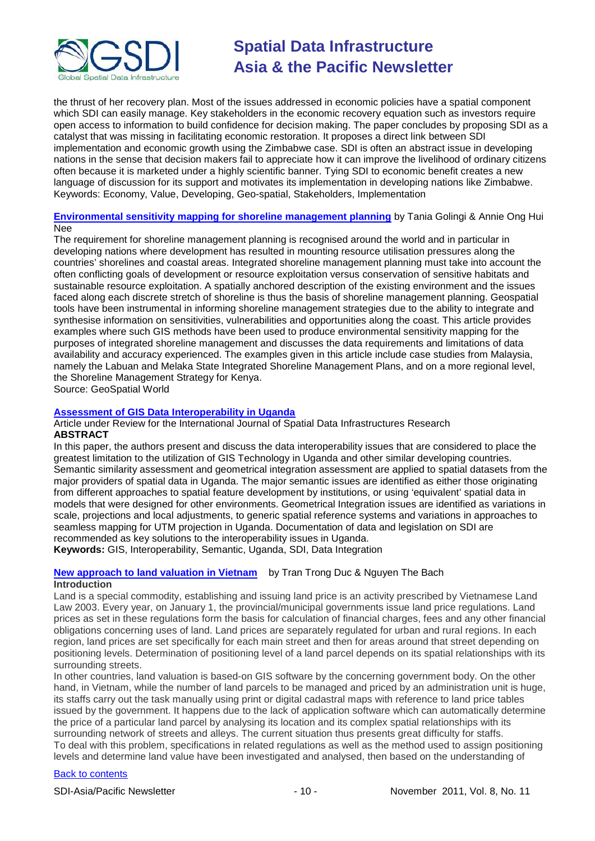

the thrust of her recovery plan. Most of the issues addressed in economic policies have a spatial component which SDI can easily manage. Key stakeholders in the economic recovery equation such as investors require open access to information to build confidence for decision making. The paper concludes by proposing SDI as a catalyst that was missing in facilitating economic restoration. It proposes a direct link between SDI implementation and economic growth using the Zimbabwe case. SDI is often an abstract issue in developing nations in the sense that decision makers fail to appreciate how it can improve the livelihood of ordinary citizens often because it is marketed under a highly scientific banner. Tying SDI to economic benefit creates a new language of discussion for its support and motivates its implementation in developing nations like Zimbabwe. Keywords: Economy, Value, Developing, Geo-spatial, Stakeholders, Implementation

#### **[Environmental sensitivity mapping for shoreline management planning](http://www.geospatialworld.net/index.php?option=com_content&view=article&id=23207%3Aenvironmental-sensitivity-mapping-for-shoreline-management-planning&catid=156&Itemid=28&Itemid=41)** by Tania Golingi & Annie Ong Hui Nee

The requirement for shoreline management planning is recognised around the world and in particular in developing nations where development has resulted in mounting resource utilisation pressures along the countries' shorelines and coastal areas. Integrated shoreline management planning must take into account the often conflicting goals of development or resource exploitation versus conservation of sensitive habitats and sustainable resource exploitation. A spatially anchored description of the existing environment and the issues faced along each discrete stretch of shoreline is thus the basis of shoreline management planning. Geospatial tools have been instrumental in informing shoreline management strategies due to the ability to integrate and synthesise information on sensitivities, vulnerabilities and opportunities along the coast. This article provides examples where such GIS methods have been used to produce environmental sensitivity mapping for the purposes of integrated shoreline management and discusses the data requirements and limitations of data availability and accuracy experienced. The examples given in this article include case studies from Malaysia, namely the Labuan and Melaka State Integrated Shoreline Management Plans, and on a more regional level, the Shoreline Management Strategy for Kenya.

Source: GeoSpatial World

#### **[Assessment of GIS Data Interoperability in Uganda](http://ijsdir.jrc.ec.europa.eu/index.php/ijsdir/article/viewFile/219/270)**

Article under Review for the International Journal of Spatial Data Infrastructures Research **ABSTRACT**

In this paper, the authors present and discuss the data interoperability issues that are considered to place the greatest limitation to the utilization of GIS Technology in Uganda and other similar developing countries. Semantic similarity assessment and geometrical integration assessment are applied to spatial datasets from the major providers of spatial data in Uganda. The major semantic issues are identified as either those originating from different approaches to spatial feature development by institutions, or using 'equivalent' spatial data in models that were designed for other environments. Geometrical Integration issues are identified as variations in scale, projections and local adjustments, to generic spatial reference systems and variations in approaches to seamless mapping for UTM projection in Uganda. Documentation of data and legislation on SDI are recommended as key solutions to the interoperability issues in Uganda. **Keywords:** GIS, Interoperability, Semantic, Uganda, SDI, Data Integration

#### **[New approach to land valuation in Vietnam](http://www.geospatialworld.net/index.php?option=com_content&view=article&id=23302%3Anew-approach-to-land-valuation-in-vietnam&catid=140%3Aland-information-system-overview&Itemid=41)** by Tran Trong Duc & Nguyen The Bach **Introduction**

Land is a special commodity, establishing and issuing land price is an activity prescribed by Vietnamese Land Law 2003. Every year, on January 1, the provincial/municipal governments issue land price regulations. Land prices as set in these regulations form the basis for calculation of financial charges, fees and any other financial obligations concerning uses of land. Land prices are separately regulated for urban and rural regions. In each region, land prices are set specifically for each main street and then for areas around that street depending on positioning levels. Determination of positioning level of a land parcel depends on its spatial relationships with its surrounding streets.

In other countries, land valuation is based-on GIS software by the concerning government body. On the other hand, in Vietnam, while the number of land parcels to be managed and priced by an administration unit is huge, its staffs carry out the task manually using print or digital cadastral maps with reference to land price tables issued by the government. It happens due to the lack of application software which can automatically determine the price of a particular land parcel by analysing its location and its complex spatial relationships with its surrounding network of streets and alleys. The current situation thus presents great difficulty for staffs. To deal with this problem, specifications in related regulations as well as the method used to assign positioning levels and determine land value have been investigated and analysed, then based on the understanding of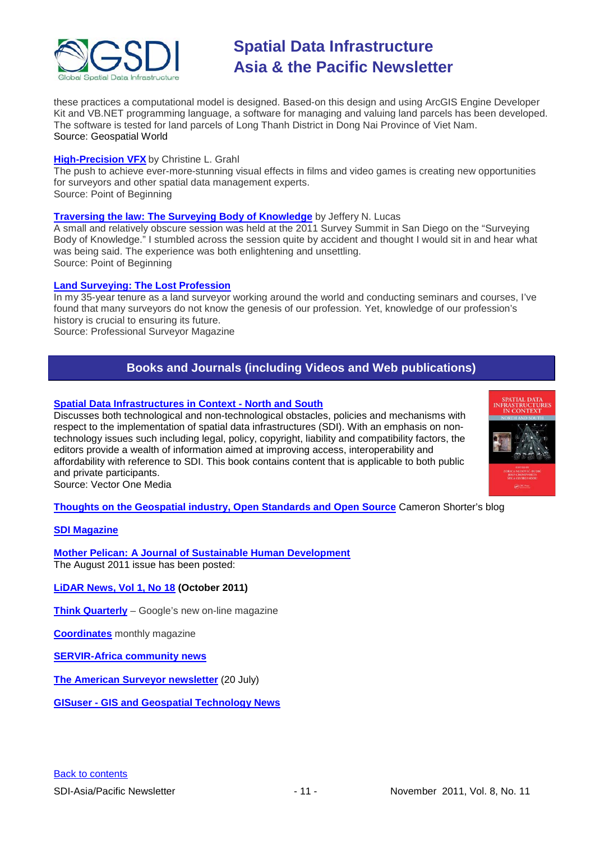

these practices a computational model is designed. Based-on this design and using ArcGIS Engine Developer Kit and VB.NET programming language, a software for managing and valuing land parcels has been developed. The software is tested for land parcels of Long Thanh District in Dong Nai Province of Viet Nam. Source: Geospatial World

#### **[High-Precision VFX](http://www.pobonline.com/Articles/Article_Rotation/BNP_GUID_9-5-2006_A_10000000000001108196)** by Christine L. Grahl

The push to achieve ever-more-stunning visual effects in films and video games is creating new opportunities for surveyors and other spatial data management experts. Source: Point of Beginning

#### **[Traversing the law: The Surveying Body of Knowledge](http://www.pobonline.com/Articles/Column/BNP_GUID_9-5-2006_A_10000000000001108016)** by Jeffery N. Lucas

A small and relatively obscure session was held at the 2011 Survey Summit in San Diego on the "Surveying Body of Knowledge." I stumbled across the session quite by accident and thought I would sit in and hear what was being said. The experience was both enlightening and unsettling. Source: Point of Beginning

#### **[Land Surveying: The Lost Profession](http://www.profsurv.com/magazine/article.aspx?i=71004)**

In my 35-year tenure as a land surveyor working around the world and conducting seminars and courses, I've found that many surveyors do not know the genesis of our profession. Yet, knowledge of our profession's history is crucial to ensuring its future.

<span id="page-10-0"></span>Source: Professional Surveyor Magazine

### **Books and Journals (including Videos and Web publications)**

#### **[Spatial Data Infrastructures in Context -](http://www.vector1media.com/2011102123665/Article/Book-Review/spatial-data-infrastructures-in-context-north-and-south.html) North and South**

Discusses both technological and non-technological obstacles, policies and mechanisms with respect to the implementation of spatial data infrastructures (SDI). With an emphasis on nontechnology issues such including legal, policy, copyright, liability and compatibility factors, the editors provide a wealth of information aimed at improving access, interoperability and affordability with reference to SDI. This book contains content that is applicable to both public and private participants.

Source: Vector One Media

**[Thoughts on the Geospatial industry, Open Standards and Open Source](http://cameronshorter.blogspot.com/2011/06/memoirs-of-cat-herder-coordinating.html)** Cameron Shorter's blog

#### **[SDI Magazine](http://www.sdimag.com/)**

**[Mother Pelican: A Journal of Sustainable Human Development](http://www.pelicanweb.org/solisustv07n08page1.html)** The August 2011 issue has been posted:

**[LiDAR News, Vol 1, No 18](http://www.lidarnews.com/newsletter/Vol1No18.htm) (October 2011)**

**[Think Quarterly](http://thinkquarterly.co.uk/#aboutthebook)** – Google's new on-line magazine

**[Coordinates](http://mycoordinates.org/pdf/june11.pdf)** monthly magazine

**[SERVIR-Africa community news](http://www.servirglobal.net/africa/en/News/CommunityNews.aspx)**

**[The American Surveyor newsletter](http://www.amerisurv.com/newsletter/20JUL2011.htm)** (20 July)

**GISuser - [GIS and Geospatial Technology](http://www.gisuser.com/) News**

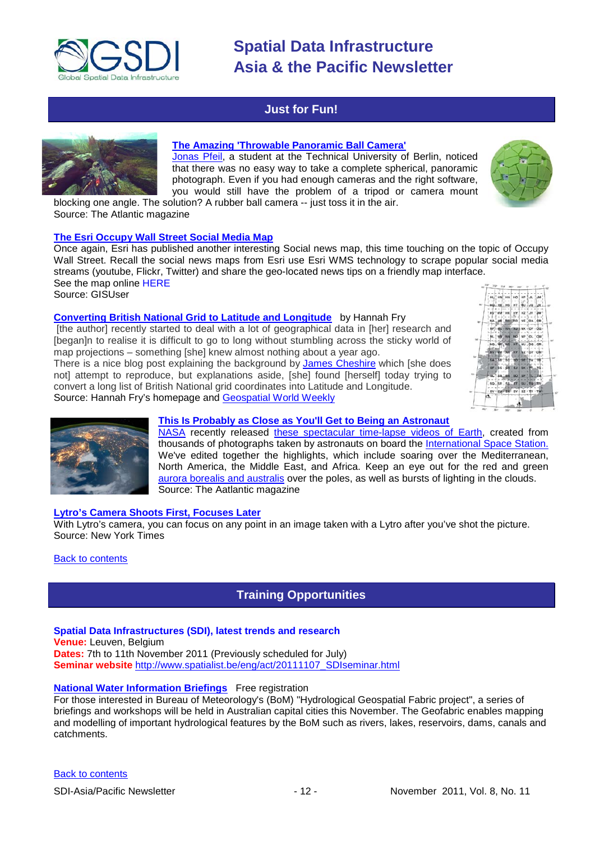

### <span id="page-11-0"></span>**Just for Fun!**



### **[The Amazing 'Throwable Panoramic Ball Camera'](http://www.theatlantic.com/video/archive/2011/10/the-amazing-throwable-panoramic-ball-camera/247089/)**

[Jonas Pfeil,](http://jonaspfeil.de/ballcamera) a student at the Technical University of Berlin, noticed that there was no easy way to take a complete spherical, panoramic photograph. Even if you had enough cameras and the right software, you would still have the problem of a tripod or camera mount blocking one angle. The solution? A rubber ball camera -- just toss it in the air.



Source: The Atlantic magazine

#### **[The Esri Occupy Wall Street Social Media Map](http://www.gisuser.com/content/view/24891/2/)**

Once again, Esri has published another interesting Social news map, this time touching on the topic of Occupy Wall Street. Recall the social news maps from Esri use Esri WMS technology to scrape popular social media streams (youtube, Flickr, Twitter) and share the geo-located news tips on a friendly map interface. [See the map online HERE](http://www.esri.com/news/maps/2011/occupy-wall-street-map/index.html)

Source: GISUser

#### **[Converting British National Grid to Latitude and Longitude](http://hannahfry.co.uk/2011/10/10/converting-british-national-grid-to-latitude-and-longitude/)** by [Hannah](http://hannahfry.co.uk/author/hannahfry/) Fry

[the author] recently started to deal with a lot of geographical data in [her] research and [began]n to realise it is difficult to go to long without stumbling across the sticky world of map projections – something [she] knew almost nothing about a year ago.

There is a nice blog post explaining the background by [James Cheshire](http://spatialanalysis.co.uk/2011/03/flattening-the-earth/) which [she does not] attempt to reproduce, but explanations aside, [she] found [herself] today trying to convert a long list of British National grid coordinates into Latitude and Longitude. Source: Hannah Fry's homepage and [Geospatial World Weekly](http://www.geospatialworld.net/newsletter/weekly_newsletter/oct2411.htm)





### **[This Is Probably as Close as You'll Get to Being an Astronaut](http://www.theatlantic.com/video/archive/2011/10/this-is-probably-as-close-as-youll-get-to-being-an-astronaut/247483/)**

[NASA](http://www.nasa.gov/) recently released [these spectacular time-lapse videos of Earth,](http://eol.jsc.nasa.gov/Videos/CrewEarthObservationsVideos/) created from thousands of photographs taken by astronauts on board the [International Space Station.](http://www.nasa.gov/mission_pages/station/main/index.html) We've edited together the highlights, which include soaring over the Mediterranean, North America, the Middle East, and Africa. Keep an eye out for the red and green [aurora borealis and australis](http://en.wikipedia.org/wiki/Aurora_(astronomy)) over the poles, as well as bursts of lighting in the clouds. Source: The Aatlantic magazine

#### **[Lytro's Camera Shoots First, Focuses Later](http://gadgetwise.blogs.nytimes.com/2011/10/19/lytros-camera-shoots-first-focuses-later/)**

With Lytro's camera, you can focus on any point in an image taken with a Lytro after you've shot the picture. Source: New York Times

#### <span id="page-11-1"></span>**[Back to contents](#page-0-0)**

### **Training Opportunities**

#### **Spatial Data Infrastructures (SDI), latest trends and research**

**Venue:** Leuven, Belgium

**Dates:** 7th to 11th November 2011 (Previously scheduled for July) **Seminar website** [http://www.spatialist.be/eng/act/20111107\\_SDIseminar.html](http://www.spatialist.be/eng/act/20111107_SDIseminar.html)

### **[National Water Information Briefings](http://e.bom.gov.au/pub/pubType/EV/pubID/zzzz4e92699329bf8198/nc/zzzz4e926d1b050c9019/interface.html)** Free registration

For those interested in Bureau of Meteorology's (BoM) "Hydrological Geospatial Fabric project", a series of briefings and workshops will be held in Australian capital cities this November. The Geofabric enables mapping and modelling of important hydrological features by the BoM such as rivers, lakes, reservoirs, dams, canals and catchments.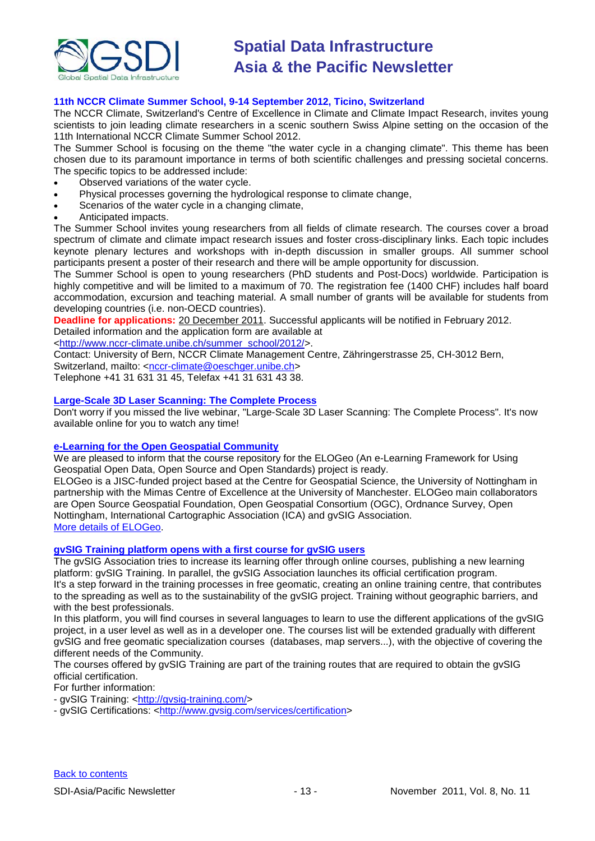

#### **11th NCCR Climate Summer School, 9-14 September 2012, Ticino, Switzerland**

The NCCR Climate, Switzerland's Centre of Excellence in Climate and Climate Impact Research, invites young scientists to join leading climate researchers in a scenic southern Swiss Alpine setting on the occasion of the 11th International NCCR Climate Summer School 2012.

The Summer School is focusing on the theme "the water cycle in a changing climate". This theme has been chosen due to its paramount importance in terms of both scientific challenges and pressing societal concerns. The specific topics to be addressed include:

- Observed variations of the water cycle.
- Physical processes governing the hydrological response to climate change,
- Scenarios of the water cycle in a changing climate,
- Anticipated impacts.

The Summer School invites young researchers from all fields of climate research. The courses cover a broad spectrum of climate and climate impact research issues and foster cross-disciplinary links. Each topic includes keynote plenary lectures and workshops with in-depth discussion in smaller groups. All summer school participants present a poster of their research and there will be ample opportunity for discussion.

The Summer School is open to young researchers (PhD students and Post-Docs) worldwide. Participation is highly competitive and will be limited to a maximum of 70. The registration fee (1400 CHF) includes half board accommodation, excursion and teaching material. A small number of grants will be available for students from developing countries (i.e. non-OECD countries).

**Deadline for applications:** 20 December 2011. Successful applicants will be notified in February 2012.

Detailed information and the application form are available at

[<http://www.nccr-climate.unibe.ch/summer\\_school/2012/>](http://www.nccr-climate.unibe.ch/summer_school/2012/). Contact: University of Bern, NCCR Climate Management Centre, Zähringerstrasse 25, CH-3012 Bern,

Switzerland, mailto: [<nccr-climate@oeschger.unibe.ch>](mailto:nccr-climate@oeschger.unibe.ch)

Telephone +41 31 631 31 45, Telefax +41 31 631 43 38.

#### **[Large-Scale 3D Laser Scanning: The Complete Process](http://www.faro.com/site/resources/details/1373?CampaignId=70170000000bbwr)**

Don't worry if you missed the live webinar, "Large-Scale 3D Laser Scanning: The Complete Process". It's now available online for you to watch any time!

#### **[e-Learning for the Open Geospatial Community](http://elogeo.nottingham.ac.uk/xmlui)**

We are pleased to inform that the course repository for the ELOGeo (An e-Learning Framework for Using Geospatial Open Data, Open Source and Open Standards) project is ready.

ELOGeo is a JISC-funded project based at the Centre for Geospatial Science, the University of Nottingham in partnership with the Mimas Centre of Excellence at the University of Manchester. ELOGeo main collaborators are Open Source Geospatial Foundation, Open Geospatial Consortium (OGC), Ordnance Survey, Open Nottingham, International Cartographic Association (ICA) and gvSIG Association. [More details of ELOGeo.](http://elogeo.nottingham.ac.uk/index.html)

#### **gvSIG Training platform opens with a first course for gvSIG users**

The gvSIG Association tries to increase its learning offer through online courses, publishing a new learning platform: gvSIG Training. In parallel, the gvSIG Association launches its official certification program. It's a step forward in the training processes in free geomatic, creating an online training centre, that contributes to the spreading as well as to the sustainability of the gvSIG project. Training without geographic barriers, and with the best professionals.

In this platform, you will find courses in several languages to learn to use the different applications of the gvSIG project, in a user level as well as in a developer one. The courses list will be extended gradually with different gvSIG and free geomatic specialization courses (databases, map servers...), with the objective of covering the different needs of the Community.

The courses offered by gvSIG Training are part of the training routes that are required to obtain the gvSIG official certification.

For further information:

- gvSIG Training: [<http://gvsig-training.com/>](http://gvsig-training.com/)

- gvSIG Certifications: [<http://www.gvsig.com/services/certification>](http://www.gvsig.com/services/certification)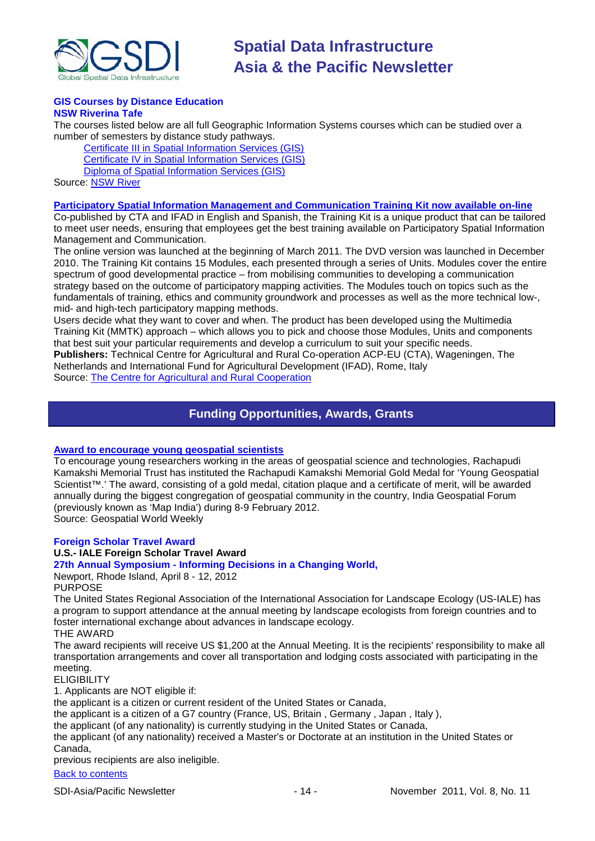

#### **GIS Courses by Distance Education NSW Riverina Tafe**

The courses listed below are all full Geographic Information Systems courses which can be studied over a number of semesters by distance study pathways.

[Certificate III in Spatial Information Services \(GIS\)](http://www.rit.tafensw.edu.au/nec/nrme/giscourses#Cert III in Spatial Information Services (CPP30109)) [Certificate IV in Spatial Information Services \(GIS\)](http://www.rit.tafensw.edu.au/nec/nrme/giscourses#Cert IV in Spatial Information Services (CPP40209)) [Diploma of Spatial Information Services \(GIS\)](http://www.rit.tafensw.edu.au/nec/nrme/giscourses#Diploma of Spatial Information Services (CPP50207))

Sourc[e: NSW River](http://www.rit.tafensw.edu.au/nec/nrme/giscourses)

#### **[Participatory Spatial Information Management and Communication Training Kit now available on-line](http://www.cta.int/en/About-us/CTA-news/Participatory-Spatial-Information-Management-and-Communication-Training-Kit-now-available-on-line)**

Co-published by CTA and IFAD in English and Spanish, the Training Kit is a unique product that can be tailored to meet user needs, ensuring that employees get the best training available on Participatory Spatial Information Management and Communication.

The [online version](http://pgis-tk.cta.int/) was launched at the beginning of March 2011. The DVD version was launched in December 2010. The Training Kit contains 15 Modules, each presented through a series of Units. Modules cover the entire spectrum of good developmental practice – from mobilising communities to developing a communication strategy based on the outcome of participatory mapping activities. The Modules touch on topics such as the fundamentals of training, ethics and community groundwork and processes as well as the more technical low-, mid- and high-tech participatory mapping methods.

Users decide what they want to cover and when. The product has been developed using the Multimedia Training Kit (MMTK) approach – which allows you to pick and choose those Modules, Units and components that best suit your particular requirements and develop a curriculum to suit your specific needs. **Publishers:** Technical Centre for Agricultural and Rural Co-operation ACP-EU (CTA), Wageningen, The

<span id="page-13-0"></span>Netherlands and International Fund for Agricultural Development (IFAD), Rome, Italy Source: [The Centre for Agricultural and Rural Cooperation](http://www.cta.int/en/About-us/Who-we-are)

### **Funding Opportunities, Awards, Grants**

#### **[Award to encourage young geospatial scientists](http://geospatialworld.net/index.php?option=com_content&view=article&id=23094%3Aaward-to-encourage-young-geospatial-scientists-&catid=81%3Amiscellaneous-award&Itemid=1)**

To encourage young researchers working in the areas of geospatial science and technologies, Rachapudi Kamakshi Memorial Trust has instituted the Rachapudi Kamakshi Memorial Gold Medal for 'Young Geospatial Scientist™.' The award, consisting of a gold medal, citation plaque and a certificate of merit, will be awarded annually during the biggest congregation of geospatial community in the country, India Geospatial Forum (previously known as 'Map India') during 8-9 February 2012.

Source: Geospatial World Weekly

#### **Foreign Scholar Travel Award**

#### **U.S.- IALE Foreign Scholar Travel Award**

#### **27th Annual Symposium - Informing Decisions in a Changing World,**

Newport, Rhode Island, April 8 - 12, 2012 PURPOSE

The United States Regional Association of the International Association for Landscape Ecology (US-IALE) has a program to support attendance at the annual meeting by landscape ecologists from foreign countries and to foster international exchange about advances in landscape ecology.

THE AWARD

The award recipients will receive US \$1,200 at the Annual Meeting. It is the recipients' responsibility to make all transportation arrangements and cover all transportation and lodging costs associated with participating in the meeting.

**ELIGIBILITY** 

1. Applicants are NOT eligible if:

the applicant is a citizen or current resident of the United States or Canada,

the applicant is a citizen of a G7 country (France, US, Britain , Germany , Japan , Italy ),

the applicant (of any nationality) is currently studying in the United States or Canada,

the applicant (of any nationality) received a Master's or Doctorate at an institution in the United States or Canada,

previous recipients are also ineligible.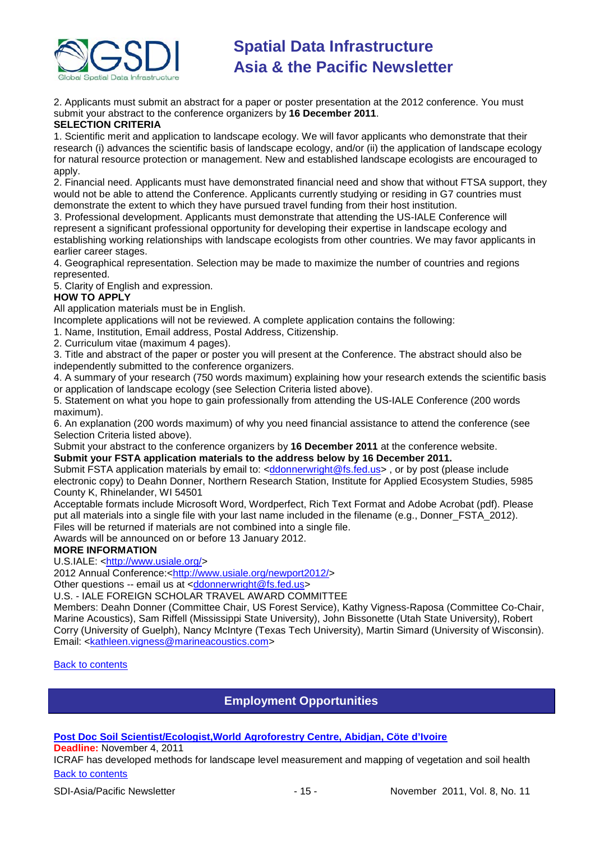

2. Applicants must submit an abstract for a paper or poster presentation at the 2012 conference. You must submit your abstract to the conference organizers by **16 December 2011**.

#### **SELECTION CRITERIA**

1. Scientific merit and application to landscape ecology. We will favor applicants who demonstrate that their research (i) advances the scientific basis of landscape ecology, and/or (ii) the application of landscape ecology for natural resource protection or management. New and established landscape ecologists are encouraged to apply.

2. Financial need. Applicants must have demonstrated financial need and show that without FTSA support, they would not be able to attend the Conference. Applicants currently studying or residing in G7 countries must demonstrate the extent to which they have pursued travel funding from their host institution.

3. Professional development. Applicants must demonstrate that attending the US-IALE Conference will represent a significant professional opportunity for developing their expertise in landscape ecology and establishing working relationships with landscape ecologists from other countries. We may favor applicants in earlier career stages.

4. Geographical representation. Selection may be made to maximize the number of countries and regions represented.

5. Clarity of English and expression.

#### **HOW TO APPLY**

All application materials must be in English.

Incomplete applications will not be reviewed. A complete application contains the following:

1. Name, Institution, Email address, Postal Address, Citizenship.

2. Curriculum vitae (maximum 4 pages).

3. Title and abstract of the paper or poster you will present at the Conference. The abstract should also be independently submitted to the conference organizers.

4. A summary of your research (750 words maximum) explaining how your research extends the scientific basis or application of landscape ecology (see Selection Criteria listed above).

5. Statement on what you hope to gain professionally from attending the US-IALE Conference (200 words maximum).

6. An explanation (200 words maximum) of why you need financial assistance to attend the conference (see Selection Criteria listed above).

Submit your abstract to the conference organizers by **16 December 2011** at the conference website. **Submit your FSTA application materials to the address below by 16 December 2011.**

Submit FSTA application materials by email to: [<ddonnerwright@fs.fed.us>](mailto:ddonnerwright@fs.fed.us), or by post (please include electronic copy) to Deahn Donner, Northern Research Station, Institute for Applied Ecosystem Studies, 5985 County K, Rhinelander, WI 54501

Acceptable formats include Microsoft Word, Wordperfect, Rich Text Format and Adobe Acrobat (pdf). Please put all materials into a single file with your last name included in the filename (e.g., Donner\_FSTA\_2012). Files will be returned if materials are not combined into a single file.

Awards will be announced on or before 13 January 2012.

#### **MORE INFORMATION**

U.S.IALE: [<http://www.usiale.org/>](https://owa.unimelb.edu.au/owa/redir.aspx?C=cc26440cce5c4277a5bc62fda37f4bd0&URL=http%3a%2f%2fwww.usiale.org%2f)

2012 Annual Conference:[<http://www.usiale.org/newport2012/>](https://owa.unimelb.edu.au/owa/redir.aspx?C=cc26440cce5c4277a5bc62fda37f4bd0&URL=http%3a%2f%2fwww.usiale.org%2fnewport2012%2f)

Other questions -- email us at [<ddonnerwright@fs.fed.us>](mailto:ddonnerwright@fs.fed.us)

U.S. - IALE FOREIGN SCHOLAR TRAVEL AWARD COMMITTEE

Members: Deahn Donner (Committee Chair, US Forest Service), Kathy Vigness-Raposa (Committee Co-Chair, Marine Acoustics), Sam Riffell (Mississippi State University), John Bissonette (Utah State University), Robert Corry (University of Guelph), Nancy McIntyre (Texas Tech University), Martin Simard (University of Wisconsin). Email: [<kathleen.vigness@marineacoustics.com>](mailto:kathleen.vigness@marineacoustics.com)

<span id="page-14-0"></span>[Back to contents](#page-0-0)

### **Employment Opportunities**

**[Post Doc Soil Scientist/Ecologist,World Agroforestry Centre, Abidjan, Cöte d'Ivoire](http://www.worldagroforestry.org/careers/post-doc-soil-scientistecologist)**

**Deadline:** November 4, 2011

[Back to contents](#page-0-0) ICRAF has developed methods for landscape level measurement and mapping of vegetation and soil health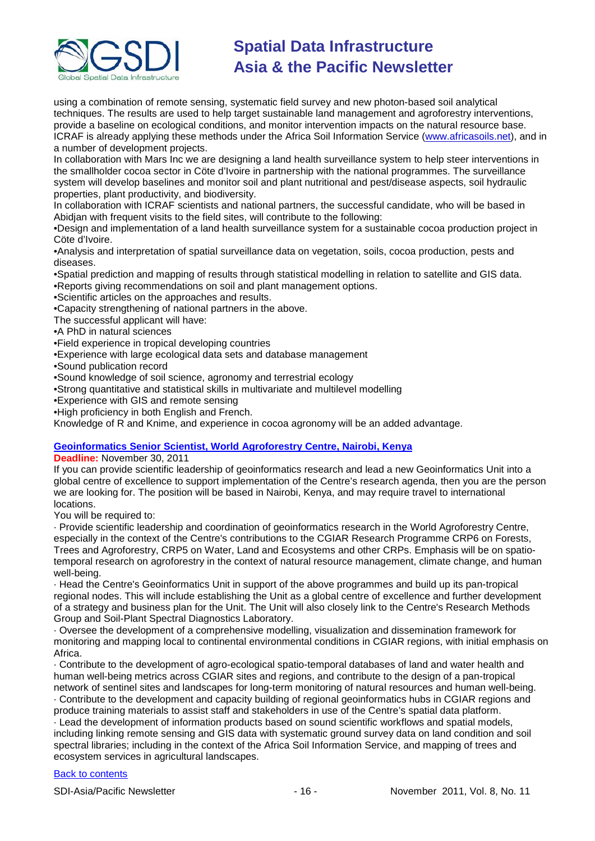

using a combination of remote sensing, systematic field survey and new photon-based soil analytical techniques. The results are used to help target sustainable land management and agroforestry interventions, provide a baseline on ecological conditions, and monitor intervention impacts on the natural resource base. ICRAF is already applying these methods under the Africa Soil Information Service [\(www.africasoils.net\)](http://www.africasoils.net/), and in a number of development projects.

In collaboration with Mars Inc we are designing a land health surveillance system to help steer interventions in the smallholder cocoa sector in Cöte d'Ivoire in partnership with the national programmes. The surveillance system will develop baselines and monitor soil and plant nutritional and pest/disease aspects, soil hydraulic properties, plant productivity, and biodiversity.

In collaboration with ICRAF scientists and national partners, the successful candidate, who will be based in Abidjan with frequent visits to the field sites, will contribute to the following:

•Design and implementation of a land health surveillance system for a sustainable cocoa production project in Cöte d'Ivoire.

•Analysis and interpretation of spatial surveillance data on vegetation, soils, cocoa production, pests and diseases.

•Spatial prediction and mapping of results through statistical modelling in relation to satellite and GIS data. •Reports giving recommendations on soil and plant management options.

•Scientific articles on the approaches and results.

•Capacity strengthening of national partners in the above.

The successful applicant will have:

#### •A PhD in natural sciences

•Field experience in tropical developing countries

- •Experience with large ecological data sets and database management
- •Sound publication record
- •Sound knowledge of soil science, agronomy and terrestrial ecology
- •Strong quantitative and statistical skills in multivariate and multilevel modelling
- •Experience with GIS and remote sensing
- •High proficiency in both English and French.

Knowledge of R and Knime, and experience in cocoa agronomy will be an added advantage.

#### **[Geoinformatics Senior Scientist, World Agroforestry Centre, Nairobi, Kenya](http://www.worldagroforestry.org/careers/geoinformatics-senior-scientist)**

**Deadline:** November 30, 2011

If you can provide scientific leadership of geoinformatics research and lead a new Geoinformatics Unit into a global centre of excellence to support implementation of the Centre's research agenda, then you are the person we are looking for. The position will be based in Nairobi, Kenya, and may require travel to international locations.

You will be required to:

· Provide scientific leadership and coordination of geoinformatics research in the World Agroforestry Centre, especially in the context of the Centre's contributions to the CGIAR Research Programme CRP6 on Forests, Trees and Agroforestry, CRP5 on Water, Land and Ecosystems and other CRPs. Emphasis will be on spatiotemporal research on agroforestry in the context of natural resource management, climate change, and human well-being.

· Head the Centre's Geoinformatics Unit in support of the above programmes and build up its pan-tropical regional nodes. This will include establishing the Unit as a global centre of excellence and further development of a strategy and business plan for the Unit. The Unit will also closely link to the Centre's Research Methods Group and Soil-Plant Spectral Diagnostics Laboratory.

· Oversee the development of a comprehensive modelling, visualization and dissemination framework for monitoring and mapping local to continental environmental conditions in CGIAR regions, with initial emphasis on Africa.

· Contribute to the development of agro-ecological spatio-temporal databases of land and water health and human well-being metrics across CGIAR sites and regions, and contribute to the design of a pan-tropical network of sentinel sites and landscapes for long-term monitoring of natural resources and human well-being.

· Contribute to the development and capacity building of regional geoinformatics hubs in CGIAR regions and produce training materials to assist staff and stakeholders in use of the Centre's spatial data platform. · Lead the development of information products based on sound scientific workflows and spatial models, including linking remote sensing and GIS data with systematic ground survey data on land condition and soil spectral libraries; including in the context of the Africa Soil Information Service, and mapping of trees and ecosystem services in agricultural landscapes.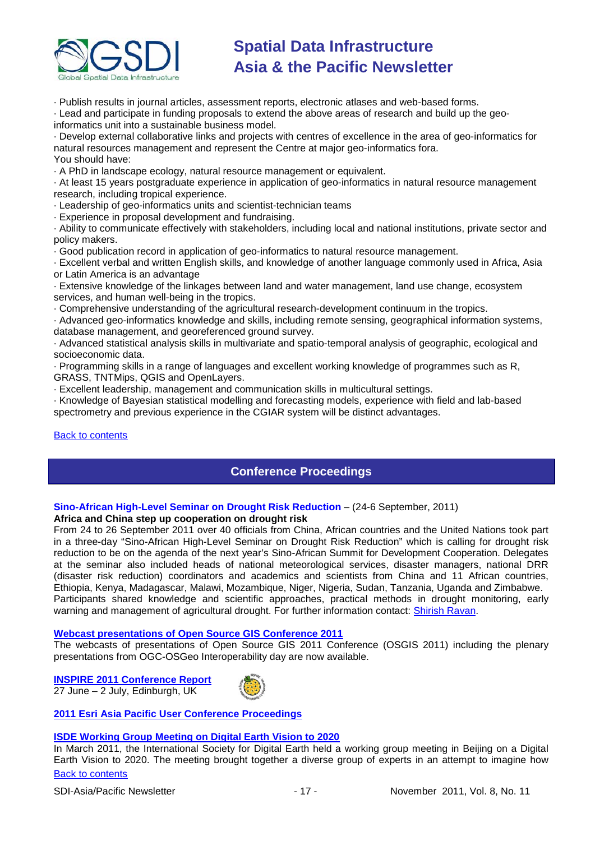

· Publish results in journal articles, assessment reports, electronic atlases and web-based forms.

· Lead and participate in funding proposals to extend the above areas of research and build up the geoinformatics unit into a sustainable business model.

· Develop external collaborative links and projects with centres of excellence in the area of geo-informatics for natural resources management and represent the Centre at major geo-informatics fora. You should have:

· A PhD in landscape ecology, natural resource management or equivalent.

· At least 15 years postgraduate experience in application of geo-informatics in natural resource management research, including tropical experience.

· Leadership of geo-informatics units and scientist-technician teams

· Experience in proposal development and fundraising.

· Ability to communicate effectively with stakeholders, including local and national institutions, private sector and policy makers.

· Good publication record in application of geo-informatics to natural resource management.

· Excellent verbal and written English skills, and knowledge of another language commonly used in Africa, Asia or Latin America is an advantage

· Extensive knowledge of the linkages between land and water management, land use change, ecosystem services, and human well-being in the tropics.

· Comprehensive understanding of the agricultural research-development continuum in the tropics.

· Advanced geo-informatics knowledge and skills, including remote sensing, geographical information systems, database management, and georeferenced ground survey.

· Advanced statistical analysis skills in multivariate and spatio-temporal analysis of geographic, ecological and socioeconomic data.

· Programming skills in a range of languages and excellent working knowledge of programmes such as R, GRASS, TNTMips, QGIS and OpenLayers.

· Excellent leadership, management and communication skills in multicultural settings.

· Knowledge of Bayesian statistical modelling and forecasting models, experience with field and lab-based spectrometry and previous experience in the CGIAR system will be distinct advantages.

#### <span id="page-16-0"></span>[Back to contents](#page-0-0)

### **Conference Proceedings**

#### **Sino-African High-Level Seminar on Drought Risk Reduction** – (24-6 September, 2011) **Africa and China step up cooperation on drought risk**

From 24 to 26 September 2011 over 40 officials from China, African countries and the United Nations took part in a three-day "Sino-African High-Level Seminar on Drought Risk Reduction" which is calling for drought risk reduction to be on the agenda of the next year's Sino-African Summit for Development Cooperation. Delegates at the seminar also included heads of national meteorological services, disaster managers, national DRR (disaster risk reduction) coordinators and academics and scientists from China and 11 African countries, Ethiopia, Kenya, Madagascar, Malawi, Mozambique, Niger, Nigeria, Sudan, Tanzania, Uganda and Zimbabwe. Participants shared knowledge and scientific approaches, practical methods in drought monitoring, early

warning and management of agricultural drought. For further information contact: [Shirish Ravan.](mailto:shirish.ravan@unoosa.org)

#### **[Webcast presentations of Open Source GIS Conference 2011](http://cgs.nottingham.ac.uk/~osgis11/os_call_info.html)**

The webcasts of presentations of Open Source GIS 2011 Conference (OSGIS 2011) including the plenary presentations from OGC-OSGeo Interoperability day are now available.

**[INSPIRE 2011 Conference Report](http://www.sdimag.com/20110708150/events/event-coverage/inspire-2011-conference-report.html)** 27 June – 2 July, Edinburgh, UK



#### **[2011 Esri Asia Pacific User Conference Proceedings](http://www.geodata.com.ph/index.php?option=com_content&view=article&id=226:2011-apuc-proceedings&catid=45:new-a-events)**

#### **[ISDE Working Group Meeting on Digital Earth Vision to 2020](http://www.digitalearth-isde.org/news/Digital%20Earth%20Vision%20to%202020.html)**

[Back to contents](#page-0-0) In March 2011, the International Society for Digital Earth held a working group meeting in Beijing on a Digital Earth Vision to 2020. The meeting brought together a diverse group of experts in an attempt to imagine how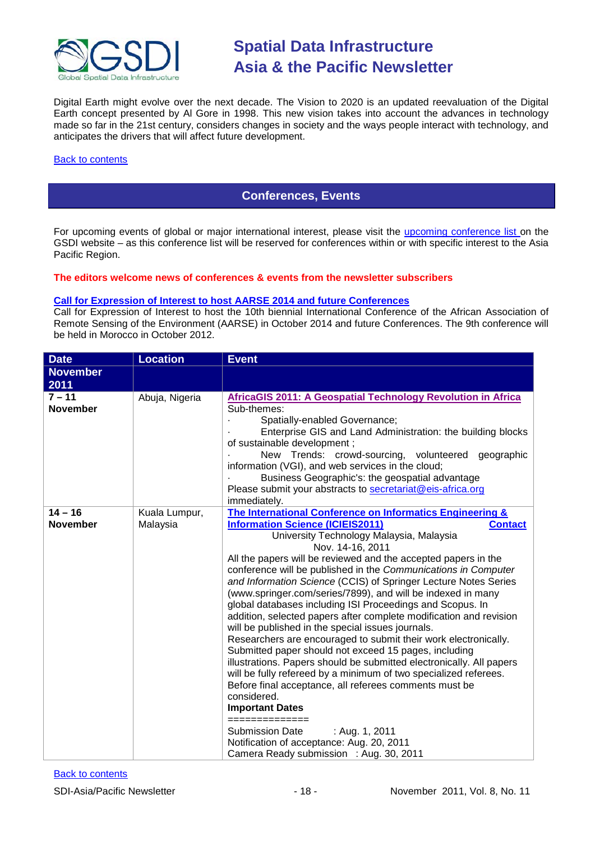

Digital Earth might evolve over the next decade. The Vision to 2020 is an updated reevaluation of the Digital Earth concept presented by Al Gore in 1998. This new vision takes into account the advances in technology made so far in the 21st century, considers changes in society and the ways people interact with technology, and anticipates the drivers that will affect future development.

#### <span id="page-17-0"></span>[Back to contents](#page-0-0)

### **Conferences, Events**

For upcoming events of global or major international interest, please visit the [upcoming conference list o](http://gsdi.org/events/upcnf.asp)n the GSDI website – as this conference list will be reserved for conferences within or with specific interest to the Asia Pacific Region.

**The editors welcome news of conferences & events from the newsletter subscribers**

#### **[Call for Expression of Interest to host AARSE 2014 and future Conferences](http://lists.gsdi.org/pipermail/sdi-africa/2010-November/001135.html)**

Call for Expression of Interest to host the 10th biennial International Conference of the African Association of Remote Sensing of the Environment (AARSE) in October 2014 and future Conferences. The 9th conference will be held in Morocco in October 2012.

| <b>Date</b>                  | <b>Location</b>           | <b>Event</b>                                                                                                                                                                                                                                                                                                                                                                                                                                                                                                                                                                                                                                                                                                                                                                                                                                                                                                                                                                                                                                                                                                                                                                          |  |
|------------------------------|---------------------------|---------------------------------------------------------------------------------------------------------------------------------------------------------------------------------------------------------------------------------------------------------------------------------------------------------------------------------------------------------------------------------------------------------------------------------------------------------------------------------------------------------------------------------------------------------------------------------------------------------------------------------------------------------------------------------------------------------------------------------------------------------------------------------------------------------------------------------------------------------------------------------------------------------------------------------------------------------------------------------------------------------------------------------------------------------------------------------------------------------------------------------------------------------------------------------------|--|
| <b>November</b><br>2011      |                           |                                                                                                                                                                                                                                                                                                                                                                                                                                                                                                                                                                                                                                                                                                                                                                                                                                                                                                                                                                                                                                                                                                                                                                                       |  |
| $7 - 11$<br><b>November</b>  | Abuja, Nigeria            | AfricaGIS 2011: A Geospatial Technology Revolution in Africa<br>Sub-themes:<br>Spatially-enabled Governance;<br>Enterprise GIS and Land Administration: the building blocks<br>of sustainable development;<br>New Trends: crowd-sourcing, volunteered geographic<br>information (VGI), and web services in the cloud;<br>Business Geographic's: the geospatial advantage<br>Please submit your abstracts to secretariat@eis-africa.org<br>immediately.                                                                                                                                                                                                                                                                                                                                                                                                                                                                                                                                                                                                                                                                                                                                |  |
| $14 - 16$<br><b>November</b> | Kuala Lumpur,<br>Malaysia | The International Conference on Informatics Engineering &<br><b>Information Science (ICIEIS2011)</b><br><b>Contact</b><br>University Technology Malaysia, Malaysia<br>Nov. 14-16, 2011<br>All the papers will be reviewed and the accepted papers in the<br>conference will be published in the Communications in Computer<br>and Information Science (CCIS) of Springer Lecture Notes Series<br>(www.springer.com/series/7899), and will be indexed in many<br>global databases including ISI Proceedings and Scopus. In<br>addition, selected papers after complete modification and revision<br>will be published in the special issues journals.<br>Researchers are encouraged to submit their work electronically.<br>Submitted paper should not exceed 15 pages, including<br>illustrations. Papers should be submitted electronically. All papers<br>will be fully refereed by a minimum of two specialized referees.<br>Before final acceptance, all referees comments must be<br>considered.<br><b>Important Dates</b><br>==============<br><b>Submission Date</b><br>: Aug. 1, 2011<br>Notification of acceptance: Aug. 20, 2011<br>Camera Ready submission : Aug. 30, 2011 |  |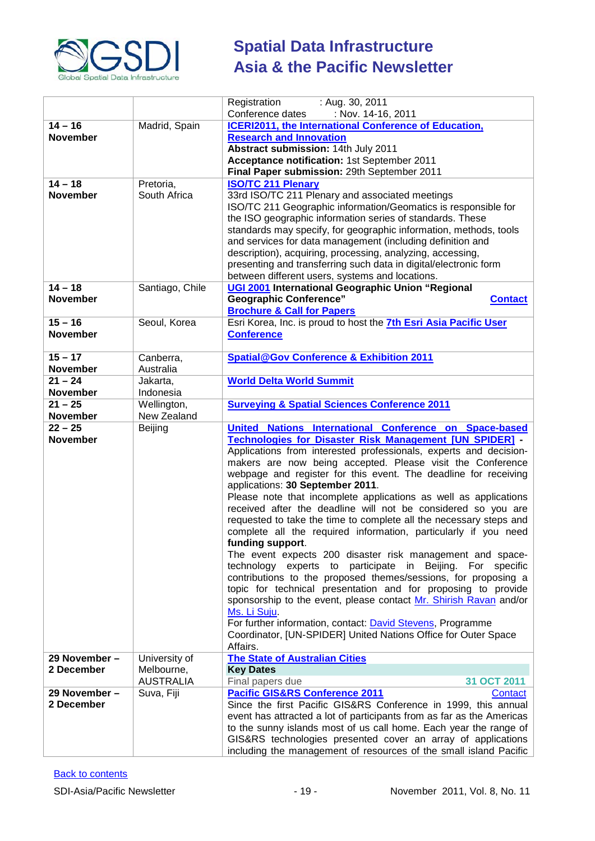

|                              |                                | Registration<br>: Aug. 30, 2011                                                                                                    |
|------------------------------|--------------------------------|------------------------------------------------------------------------------------------------------------------------------------|
|                              |                                | Conference dates<br>: Nov. 14-16, 2011                                                                                             |
| $14 - 16$                    | Madrid, Spain                  | <b>ICERI2011, the International Conference of Education,</b>                                                                       |
| <b>November</b>              |                                | <b>Research and Innovation</b>                                                                                                     |
|                              |                                | Abstract submission: 14th July 2011<br>Acceptance notification: 1st September 2011                                                 |
|                              |                                | Final Paper submission: 29th September 2011                                                                                        |
| $14 - 18$                    | Pretoria,                      | <b>ISO/TC 211 Plenary</b>                                                                                                          |
| <b>November</b>              | South Africa                   | 33rd ISO/TC 211 Plenary and associated meetings                                                                                    |
|                              |                                | ISO/TC 211 Geographic information/Geomatics is responsible for                                                                     |
|                              |                                | the ISO geographic information series of standards. These                                                                          |
|                              |                                | standards may specify, for geographic information, methods, tools                                                                  |
|                              |                                | and services for data management (including definition and                                                                         |
|                              |                                | description), acquiring, processing, analyzing, accessing,                                                                         |
|                              |                                | presenting and transferring such data in digital/electronic form                                                                   |
| $14 - 18$                    |                                | between different users, systems and locations.<br>UGI 2001 International Geographic Union "Regional                               |
| <b>November</b>              | Santiago, Chile                | <b>Geographic Conference"</b><br><b>Contact</b>                                                                                    |
|                              |                                | <b>Brochure &amp; Call for Papers</b>                                                                                              |
| $15 - 16$                    | Seoul, Korea                   | Esri Korea, Inc. is proud to host the 7th Esri Asia Pacific User                                                                   |
| <b>November</b>              |                                | <b>Conference</b>                                                                                                                  |
|                              |                                |                                                                                                                                    |
| $15 - 17$                    | Canberra,                      | <b>Spatial@Gov Conference &amp; Exhibition 2011</b>                                                                                |
| <b>November</b>              | Australia                      |                                                                                                                                    |
| $21 - 24$                    | Jakarta,                       | <b>World Delta World Summit</b>                                                                                                    |
| <b>November</b><br>$21 - 25$ | Indonesia<br>Wellington,       | <b>Surveying &amp; Spatial Sciences Conference 2011</b>                                                                            |
| November                     | New Zealand                    |                                                                                                                                    |
| $22 - 25$                    | Beijing                        | United Nations International Conference on Space-based                                                                             |
| <b>November</b>              |                                | <b>Technologies for Disaster Risk Management [UN SPIDER] -</b>                                                                     |
|                              |                                | Applications from interested professionals, experts and decision-                                                                  |
|                              |                                | makers are now being accepted. Please visit the Conference                                                                         |
|                              |                                | webpage and register for this event. The deadline for receiving                                                                    |
|                              |                                | applications: 30 September 2011.                                                                                                   |
|                              |                                | Please note that incomplete applications as well as applications<br>received after the deadline will not be considered so you are  |
|                              |                                | requested to take the time to complete all the necessary steps and                                                                 |
|                              |                                | complete all the required information, particularly if you need                                                                    |
|                              |                                | funding support.                                                                                                                   |
|                              |                                | The event expects 200 disaster risk management and space-                                                                          |
|                              |                                | technology experts to participate in Beijing. For specific                                                                         |
|                              |                                | contributions to the proposed themes/sessions, for proposing a                                                                     |
|                              |                                | topic for technical presentation and for proposing to provide<br>sponsorship to the event, please contact Mr. Shirish Ravan and/or |
|                              |                                | Ms. Li Suju.                                                                                                                       |
|                              |                                | For further information, contact: David Stevens, Programme                                                                         |
|                              |                                | Coordinator, [UN-SPIDER] United Nations Office for Outer Space                                                                     |
|                              |                                | Affairs.                                                                                                                           |
| 29 November -                | University of                  | <b>The State of Australian Cities</b>                                                                                              |
| 2 December                   | Melbourne,                     | <b>Key Dates</b><br>31 OCT 2011                                                                                                    |
| 29 November -                | <b>AUSTRALIA</b><br>Suva, Fiji | Final papers due<br><b>Pacific GIS&amp;RS Conference 2011</b><br>Contact                                                           |
| 2 December                   |                                | Since the first Pacific GIS&RS Conference in 1999, this annual                                                                     |
|                              |                                | event has attracted a lot of participants from as far as the Americas                                                              |
|                              |                                | to the sunny islands most of us call home. Each year the range of                                                                  |
|                              |                                | GIS&RS technologies presented cover an array of applications                                                                       |
|                              |                                | including the management of resources of the small island Pacific                                                                  |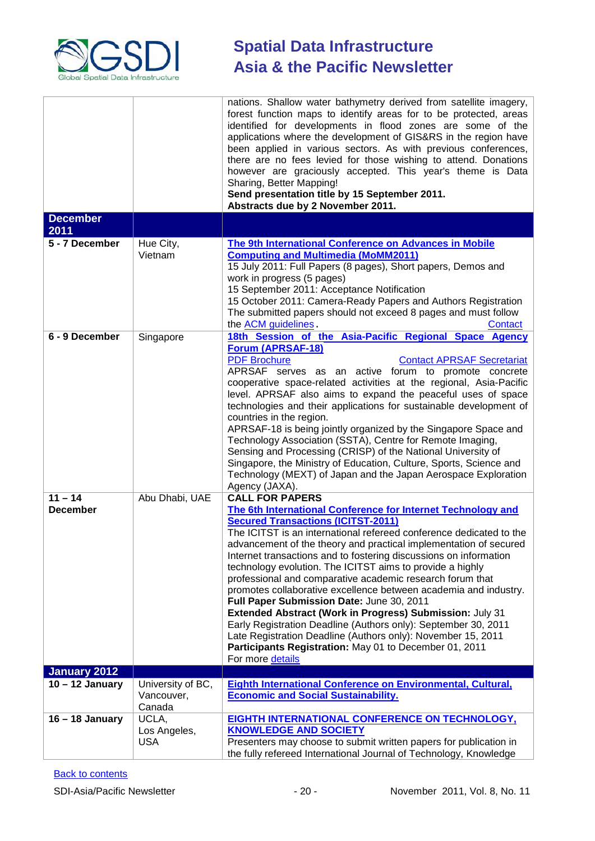

|                              |                                           | nations. Shallow water bathymetry derived from satellite imagery,<br>forest function maps to identify areas for to be protected, areas<br>identified for developments in flood zones are some of the<br>applications where the development of GIS&RS in the region have<br>been applied in various sectors. As with previous conferences,<br>there are no fees levied for those wishing to attend. Donations<br>however are graciously accepted. This year's theme is Data<br>Sharing, Better Mapping!<br>Send presentation title by 15 September 2011.                                                                                                                                                                                                                                                                                                                     |
|------------------------------|-------------------------------------------|-----------------------------------------------------------------------------------------------------------------------------------------------------------------------------------------------------------------------------------------------------------------------------------------------------------------------------------------------------------------------------------------------------------------------------------------------------------------------------------------------------------------------------------------------------------------------------------------------------------------------------------------------------------------------------------------------------------------------------------------------------------------------------------------------------------------------------------------------------------------------------|
| <b>December</b>              |                                           | Abstracts due by 2 November 2011.                                                                                                                                                                                                                                                                                                                                                                                                                                                                                                                                                                                                                                                                                                                                                                                                                                           |
| 2011                         |                                           |                                                                                                                                                                                                                                                                                                                                                                                                                                                                                                                                                                                                                                                                                                                                                                                                                                                                             |
| 5 - 7 December               | Hue City,<br>Vietnam                      | The 9th International Conference on Advances in Mobile<br><b>Computing and Multimedia (MoMM2011)</b><br>15 July 2011: Full Papers (8 pages), Short papers, Demos and<br>work in progress (5 pages)<br>15 September 2011: Acceptance Notification<br>15 October 2011: Camera-Ready Papers and Authors Registration<br>The submitted papers should not exceed 8 pages and must follow<br>the ACM guidelines.<br>Contact                                                                                                                                                                                                                                                                                                                                                                                                                                                       |
| 6 - 9 December               | Singapore                                 | 18th Session of the Asia-Pacific Regional Space Agency<br>Forum (APRSAF-18)<br><b>PDF Brochure</b><br><b>Contact APRSAF Secretariat</b><br>APRSAF serves as an active forum to promote concrete<br>cooperative space-related activities at the regional, Asia-Pacific<br>level. APRSAF also aims to expand the peaceful uses of space<br>technologies and their applications for sustainable development of<br>countries in the region.<br>APRSAF-18 is being jointly organized by the Singapore Space and<br>Technology Association (SSTA), Centre for Remote Imaging,<br>Sensing and Processing (CRISP) of the National University of<br>Singapore, the Ministry of Education, Culture, Sports, Science and<br>Technology (MEXT) of Japan and the Japan Aerospace Exploration<br>Agency (JAXA).                                                                           |
| $11 - 14$<br><b>December</b> | Abu Dhabi, UAE                            | <b>CALL FOR PAPERS</b><br>The 6th International Conference for Internet Technology and<br><b>Secured Transactions (ICITST-2011)</b><br>The ICITST is an international refereed conference dedicated to the<br>advancement of the theory and practical implementation of secured<br>Internet transactions and to fostering discussions on information<br>technology evolution. The ICITST aims to provide a highly<br>professional and comparative academic research forum that<br>promotes collaborative excellence between academia and industry.<br>Full Paper Submission Date: June 30, 2011<br>Extended Abstract (Work in Progress) Submission: July 31<br>Early Registration Deadline (Authors only): September 30, 2011<br>Late Registration Deadline (Authors only): November 15, 2011<br>Participants Registration: May 01 to December 01, 2011<br>For more details |
| January 2012                 |                                           |                                                                                                                                                                                                                                                                                                                                                                                                                                                                                                                                                                                                                                                                                                                                                                                                                                                                             |
| $10 - 12$ January            | University of BC,<br>Vancouver,<br>Canada | <b>Eighth International Conference on Environmental, Cultural,</b><br><b>Economic and Social Sustainability.</b>                                                                                                                                                                                                                                                                                                                                                                                                                                                                                                                                                                                                                                                                                                                                                            |
| $16 - 18$ January            | UCLA,<br>Los Angeles,<br><b>USA</b>       | EIGHTH INTERNATIONAL CONFERENCE ON TECHNOLOGY,<br><b>KNOWLEDGE AND SOCIETY</b><br>Presenters may choose to submit written papers for publication in<br>the fully refereed International Journal of Technology, Knowledge                                                                                                                                                                                                                                                                                                                                                                                                                                                                                                                                                                                                                                                    |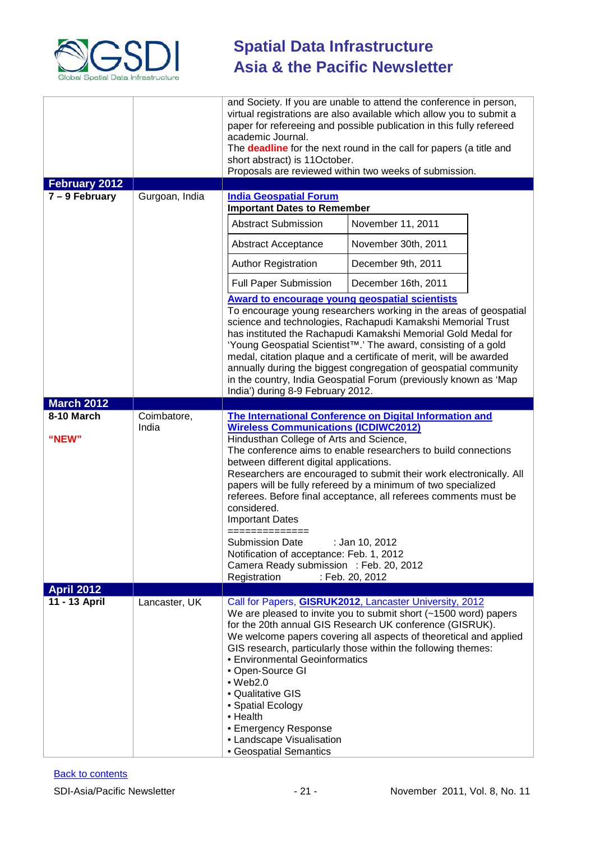

| February 2012<br>$7 - 9$ February | Gurgoan, India       | academic Journal.<br>short abstract) is 11October.<br><b>India Geospatial Forum</b><br><b>Important Dates to Remember</b>                                                                                   | and Society. If you are unable to attend the conference in person,<br>virtual registrations are also available which allow you to submit a<br>paper for refereeing and possible publication in this fully refereed<br>The deadline for the next round in the call for papers (a title and<br>Proposals are reviewed within two weeks of submission.                                                                                                                                            |
|-----------------------------------|----------------------|-------------------------------------------------------------------------------------------------------------------------------------------------------------------------------------------------------------|------------------------------------------------------------------------------------------------------------------------------------------------------------------------------------------------------------------------------------------------------------------------------------------------------------------------------------------------------------------------------------------------------------------------------------------------------------------------------------------------|
|                                   |                      | <b>Abstract Submission</b>                                                                                                                                                                                  | November 11, 2011                                                                                                                                                                                                                                                                                                                                                                                                                                                                              |
|                                   |                      | Abstract Acceptance                                                                                                                                                                                         | November 30th, 2011                                                                                                                                                                                                                                                                                                                                                                                                                                                                            |
|                                   |                      | <b>Author Registration</b>                                                                                                                                                                                  | December 9th, 2011                                                                                                                                                                                                                                                                                                                                                                                                                                                                             |
|                                   |                      | <b>Full Paper Submission</b>                                                                                                                                                                                | December 16th, 2011                                                                                                                                                                                                                                                                                                                                                                                                                                                                            |
|                                   |                      | <b>Award to encourage young geospatial scientists</b>                                                                                                                                                       |                                                                                                                                                                                                                                                                                                                                                                                                                                                                                                |
|                                   |                      | India') during 8-9 February 2012.                                                                                                                                                                           | To encourage young researchers working in the areas of geospatial<br>science and technologies, Rachapudi Kamakshi Memorial Trust<br>has instituted the Rachapudi Kamakshi Memorial Gold Medal for<br>'Young Geospatial Scientist <sup>™</sup> .' The award, consisting of a gold<br>medal, citation plaque and a certificate of merit, will be awarded<br>annually during the biggest congregation of geospatial community<br>in the country, India Geospatial Forum (previously known as 'Map |
| <b>March 2012</b>                 |                      |                                                                                                                                                                                                             |                                                                                                                                                                                                                                                                                                                                                                                                                                                                                                |
| 8-10 March<br>"NEW"               | Coimbatore,<br>India | <b>Wireless Communications (ICDIWC2012)</b><br>Hindusthan College of Arts and Science,<br>between different digital applications.<br>considered.<br><b>Important Dates</b>                                  | The International Conference on Digital Information and<br>The conference aims to enable researchers to build connections<br>Researchers are encouraged to submit their work electronically. All<br>papers will be fully refereed by a minimum of two specialized<br>referees. Before final acceptance, all referees comments must be                                                                                                                                                          |
|                                   |                      | ==============<br><b>Submission Date</b><br>Notification of acceptance: Feb. 1, 2012<br>Camera Ready submission : Feb. 20, 2012<br>Registration                                                             | : Jan 10, 2012<br>: Feb. 20, 2012                                                                                                                                                                                                                                                                                                                                                                                                                                                              |
| <b>April 2012</b>                 |                      |                                                                                                                                                                                                             |                                                                                                                                                                                                                                                                                                                                                                                                                                                                                                |
| 11 - 13 April                     | Lancaster, UK        | • Environmental Geoinformatics<br>• Open-Source GI<br>$\bullet$ Web2.0<br>• Qualitative GIS<br>• Spatial Ecology<br>• Health<br>• Emergency Response<br>• Landscape Visualisation<br>• Geospatial Semantics | Call for Papers, <b>GISRUK2012</b> , Lancaster University, 2012<br>We are pleased to invite you to submit short (~1500 word) papers<br>for the 20th annual GIS Research UK conference (GISRUK).<br>We welcome papers covering all aspects of theoretical and applied<br>GIS research, particularly those within the following themes:                                                                                                                                                          |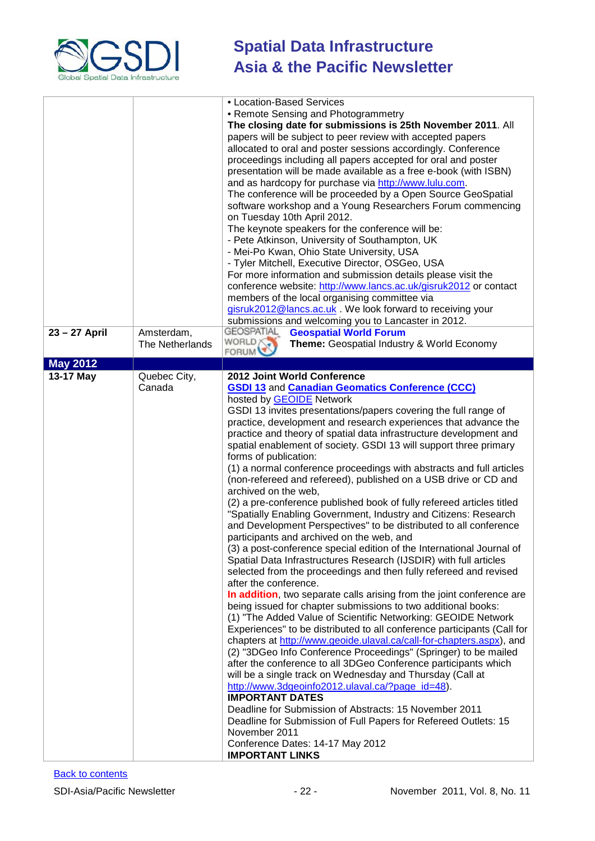

| 23 - 27 April   | Amsterdam,<br>The Netherlands | • Location-Based Services<br>• Remote Sensing and Photogrammetry<br>The closing date for submissions is 25th November 2011. All<br>papers will be subject to peer review with accepted papers<br>allocated to oral and poster sessions accordingly. Conference<br>proceedings including all papers accepted for oral and poster<br>presentation will be made available as a free e-book (with ISBN)<br>and as hardcopy for purchase via http://www.lulu.com.<br>The conference will be proceeded by a Open Source GeoSpatial<br>software workshop and a Young Researchers Forum commencing<br>on Tuesday 10th April 2012.<br>The keynote speakers for the conference will be:<br>- Pete Atkinson, University of Southampton, UK<br>- Mei-Po Kwan, Ohio State University, USA<br>- Tyler Mitchell, Executive Director, OSGeo, USA<br>For more information and submission details please visit the<br>conference website: http://www.lancs.ac.uk/gisruk2012 or contact<br>members of the local organising committee via<br>gisruk2012@lancs.ac.uk. We look forward to receiving your<br>submissions and welcoming you to Lancaster in 2012.<br><b>GEOSPATIAL</b><br><b>Geospatial World Forum</b><br>WORLD<br>Theme: Geospatial Industry & World Economy                                                                                                                                                                                                                                                                                                                                                                                                                                                                                                                                                                                                                                                                                                              |
|-----------------|-------------------------------|---------------------------------------------------------------------------------------------------------------------------------------------------------------------------------------------------------------------------------------------------------------------------------------------------------------------------------------------------------------------------------------------------------------------------------------------------------------------------------------------------------------------------------------------------------------------------------------------------------------------------------------------------------------------------------------------------------------------------------------------------------------------------------------------------------------------------------------------------------------------------------------------------------------------------------------------------------------------------------------------------------------------------------------------------------------------------------------------------------------------------------------------------------------------------------------------------------------------------------------------------------------------------------------------------------------------------------------------------------------------------------------------------------------------------------------------------------------------------------------------------------------------------------------------------------------------------------------------------------------------------------------------------------------------------------------------------------------------------------------------------------------------------------------------------------------------------------------------------------------------------------------------------------------------------------------------------------------------|
|                 |                               | <b>FORUM</b>                                                                                                                                                                                                                                                                                                                                                                                                                                                                                                                                                                                                                                                                                                                                                                                                                                                                                                                                                                                                                                                                                                                                                                                                                                                                                                                                                                                                                                                                                                                                                                                                                                                                                                                                                                                                                                                                                                                                                        |
| <b>May 2012</b> |                               |                                                                                                                                                                                                                                                                                                                                                                                                                                                                                                                                                                                                                                                                                                                                                                                                                                                                                                                                                                                                                                                                                                                                                                                                                                                                                                                                                                                                                                                                                                                                                                                                                                                                                                                                                                                                                                                                                                                                                                     |
| 13-17 May       | Quebec City,<br>Canada        | 2012 Joint World Conference<br><b>GSDI 13 and Canadian Geomatics Conference (CCC)</b><br>hosted by GEOIDE Network<br>GSDI 13 invites presentations/papers covering the full range of<br>practice, development and research experiences that advance the<br>practice and theory of spatial data infrastructure development and<br>spatial enablement of society. GSDI 13 will support three primary<br>forms of publication:<br>(1) a normal conference proceedings with abstracts and full articles<br>(non-refereed and refereed), published on a USB drive or CD and<br>archived on the web,<br>(2) a pre-conference published book of fully refereed articles titled<br>"Spatially Enabling Government, Industry and Citizens: Research<br>and Development Perspectives" to be distributed to all conference<br>participants and archived on the web, and<br>(3) a post-conference special edition of the International Journal of<br>Spatial Data Infrastructures Research (IJSDIR) with full articles<br>selected from the proceedings and then fully refereed and revised<br>after the conference.<br>In addition, two separate calls arising from the joint conference are<br>being issued for chapter submissions to two additional books:<br>(1) "The Added Value of Scientific Networking: GEOIDE Network<br>Experiences" to be distributed to all conference participants (Call for<br>chapters at http://www.geoide.ulaval.ca/call-for-chapters.aspx), and<br>(2) "3DGeo Info Conference Proceedings" (Springer) to be mailed<br>after the conference to all 3DGeo Conference participants which<br>will be a single track on Wednesday and Thursday (Call at<br>http://www.3dgeoinfo2012.ulaval.ca/?page_id=48).<br><b>IMPORTANT DATES</b><br>Deadline for Submission of Abstracts: 15 November 2011<br>Deadline for Submission of Full Papers for Refereed Outlets: 15<br>November 2011<br>Conference Dates: 14-17 May 2012<br><b>IMPORTANT LINKS</b> |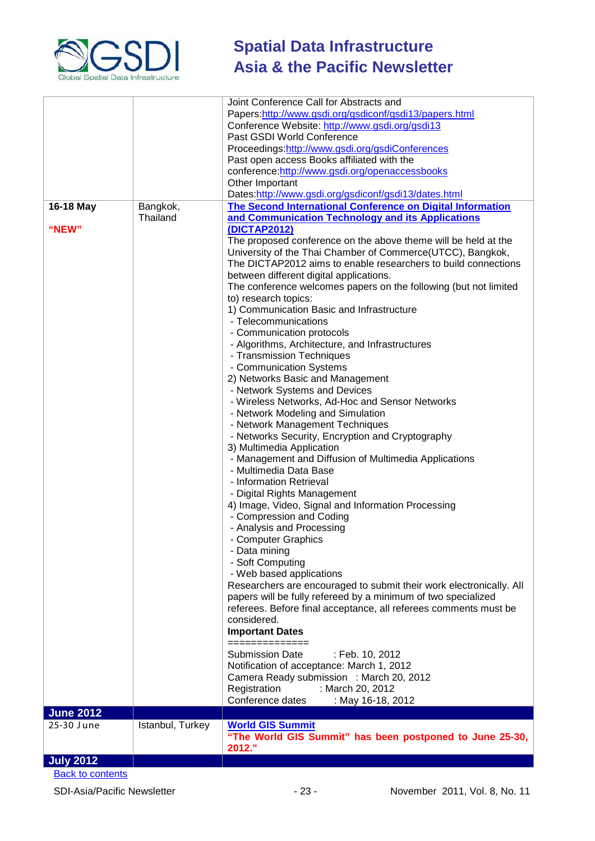

|                         |                  | Joint Conference Call for Abstracts and                                                                                                                                                                                                                                                                                                                                                                                                                                                                                                                                                                                                                                                                                                                                                                                                                                                                                                                                                                                                                                                                                                                                                                                                                                                                                                                                                                                                      |
|-------------------------|------------------|----------------------------------------------------------------------------------------------------------------------------------------------------------------------------------------------------------------------------------------------------------------------------------------------------------------------------------------------------------------------------------------------------------------------------------------------------------------------------------------------------------------------------------------------------------------------------------------------------------------------------------------------------------------------------------------------------------------------------------------------------------------------------------------------------------------------------------------------------------------------------------------------------------------------------------------------------------------------------------------------------------------------------------------------------------------------------------------------------------------------------------------------------------------------------------------------------------------------------------------------------------------------------------------------------------------------------------------------------------------------------------------------------------------------------------------------|
|                         |                  | Papers:http://www.gsdi.org/gsdiconf/gsdi13/papers.html                                                                                                                                                                                                                                                                                                                                                                                                                                                                                                                                                                                                                                                                                                                                                                                                                                                                                                                                                                                                                                                                                                                                                                                                                                                                                                                                                                                       |
|                         |                  | Conference Website: http://www.gsdi.org/gsdi13                                                                                                                                                                                                                                                                                                                                                                                                                                                                                                                                                                                                                                                                                                                                                                                                                                                                                                                                                                                                                                                                                                                                                                                                                                                                                                                                                                                               |
|                         |                  | Past GSDI World Conference                                                                                                                                                                                                                                                                                                                                                                                                                                                                                                                                                                                                                                                                                                                                                                                                                                                                                                                                                                                                                                                                                                                                                                                                                                                                                                                                                                                                                   |
|                         |                  |                                                                                                                                                                                                                                                                                                                                                                                                                                                                                                                                                                                                                                                                                                                                                                                                                                                                                                                                                                                                                                                                                                                                                                                                                                                                                                                                                                                                                                              |
|                         |                  | Proceedings:http://www.gsdi.org/gsdiConferences                                                                                                                                                                                                                                                                                                                                                                                                                                                                                                                                                                                                                                                                                                                                                                                                                                                                                                                                                                                                                                                                                                                                                                                                                                                                                                                                                                                              |
|                         |                  | Past open access Books affiliated with the                                                                                                                                                                                                                                                                                                                                                                                                                                                                                                                                                                                                                                                                                                                                                                                                                                                                                                                                                                                                                                                                                                                                                                                                                                                                                                                                                                                                   |
|                         |                  | conference:http://www.gsdi.org/openaccessbooks                                                                                                                                                                                                                                                                                                                                                                                                                                                                                                                                                                                                                                                                                                                                                                                                                                                                                                                                                                                                                                                                                                                                                                                                                                                                                                                                                                                               |
|                         |                  | Other Important                                                                                                                                                                                                                                                                                                                                                                                                                                                                                                                                                                                                                                                                                                                                                                                                                                                                                                                                                                                                                                                                                                                                                                                                                                                                                                                                                                                                                              |
|                         |                  | Dates:http://www.gsdi.org/gsdiconf/gsdi13/dates.html                                                                                                                                                                                                                                                                                                                                                                                                                                                                                                                                                                                                                                                                                                                                                                                                                                                                                                                                                                                                                                                                                                                                                                                                                                                                                                                                                                                         |
| 16-18 May               | Bangkok,         | The Second International Conference on Digital Information                                                                                                                                                                                                                                                                                                                                                                                                                                                                                                                                                                                                                                                                                                                                                                                                                                                                                                                                                                                                                                                                                                                                                                                                                                                                                                                                                                                   |
| "NEW"                   | Thailand         | and Communication Technology and its Applications<br>(DICTAP2012)                                                                                                                                                                                                                                                                                                                                                                                                                                                                                                                                                                                                                                                                                                                                                                                                                                                                                                                                                                                                                                                                                                                                                                                                                                                                                                                                                                            |
|                         |                  | The proposed conference on the above theme will be held at the<br>University of the Thai Chamber of Commerce(UTCC), Bangkok,<br>The DICTAP2012 aims to enable researchers to build connections<br>between different digital applications.<br>The conference welcomes papers on the following (but not limited<br>to) research topics:<br>1) Communication Basic and Infrastructure<br>- Telecommunications<br>- Communication protocols<br>- Algorithms, Architecture, and Infrastructures<br>- Transmission Techniques<br>- Communication Systems<br>2) Networks Basic and Management<br>- Network Systems and Devices<br>- Wireless Networks, Ad-Hoc and Sensor Networks<br>- Network Modeling and Simulation<br>- Network Management Techniques<br>- Networks Security, Encryption and Cryptography<br>3) Multimedia Application<br>- Management and Diffusion of Multimedia Applications<br>- Multimedia Data Base<br>- Information Retrieval<br>- Digital Rights Management<br>4) Image, Video, Signal and Information Processing<br>- Compression and Coding<br>- Analysis and Processing<br>- Computer Graphics<br>- Data mining<br>- Soft Computing<br>- Web based applications<br>Researchers are encouraged to submit their work electronically. All<br>papers will be fully refereed by a minimum of two specialized<br>referees. Before final acceptance, all referees comments must be<br>considered.<br><b>Important Dates</b> |
|                         |                  | ==============<br><b>Submission Date</b>                                                                                                                                                                                                                                                                                                                                                                                                                                                                                                                                                                                                                                                                                                                                                                                                                                                                                                                                                                                                                                                                                                                                                                                                                                                                                                                                                                                                     |
|                         |                  | : Feb. 10, 2012<br>Notification of acceptance: March 1, 2012                                                                                                                                                                                                                                                                                                                                                                                                                                                                                                                                                                                                                                                                                                                                                                                                                                                                                                                                                                                                                                                                                                                                                                                                                                                                                                                                                                                 |
|                         |                  |                                                                                                                                                                                                                                                                                                                                                                                                                                                                                                                                                                                                                                                                                                                                                                                                                                                                                                                                                                                                                                                                                                                                                                                                                                                                                                                                                                                                                                              |
|                         |                  | Camera Ready submission : March 20, 2012                                                                                                                                                                                                                                                                                                                                                                                                                                                                                                                                                                                                                                                                                                                                                                                                                                                                                                                                                                                                                                                                                                                                                                                                                                                                                                                                                                                                     |
|                         |                  | Registration<br>: March 20, 2012                                                                                                                                                                                                                                                                                                                                                                                                                                                                                                                                                                                                                                                                                                                                                                                                                                                                                                                                                                                                                                                                                                                                                                                                                                                                                                                                                                                                             |
|                         |                  | Conference dates<br>: May 16-18, 2012                                                                                                                                                                                                                                                                                                                                                                                                                                                                                                                                                                                                                                                                                                                                                                                                                                                                                                                                                                                                                                                                                                                                                                                                                                                                                                                                                                                                        |
| <b>June 2012</b>        |                  |                                                                                                                                                                                                                                                                                                                                                                                                                                                                                                                                                                                                                                                                                                                                                                                                                                                                                                                                                                                                                                                                                                                                                                                                                                                                                                                                                                                                                                              |
| 25-30 June              | Istanbul, Turkey | <b>World GIS Summit</b>                                                                                                                                                                                                                                                                                                                                                                                                                                                                                                                                                                                                                                                                                                                                                                                                                                                                                                                                                                                                                                                                                                                                                                                                                                                                                                                                                                                                                      |
|                         |                  | "The World GIS Summit" has been postponed to June 25-30,<br>2012."                                                                                                                                                                                                                                                                                                                                                                                                                                                                                                                                                                                                                                                                                                                                                                                                                                                                                                                                                                                                                                                                                                                                                                                                                                                                                                                                                                           |
| <b>July 2012</b>        |                  |                                                                                                                                                                                                                                                                                                                                                                                                                                                                                                                                                                                                                                                                                                                                                                                                                                                                                                                                                                                                                                                                                                                                                                                                                                                                                                                                                                                                                                              |
| <b>Back to contents</b> |                  |                                                                                                                                                                                                                                                                                                                                                                                                                                                                                                                                                                                                                                                                                                                                                                                                                                                                                                                                                                                                                                                                                                                                                                                                                                                                                                                                                                                                                                              |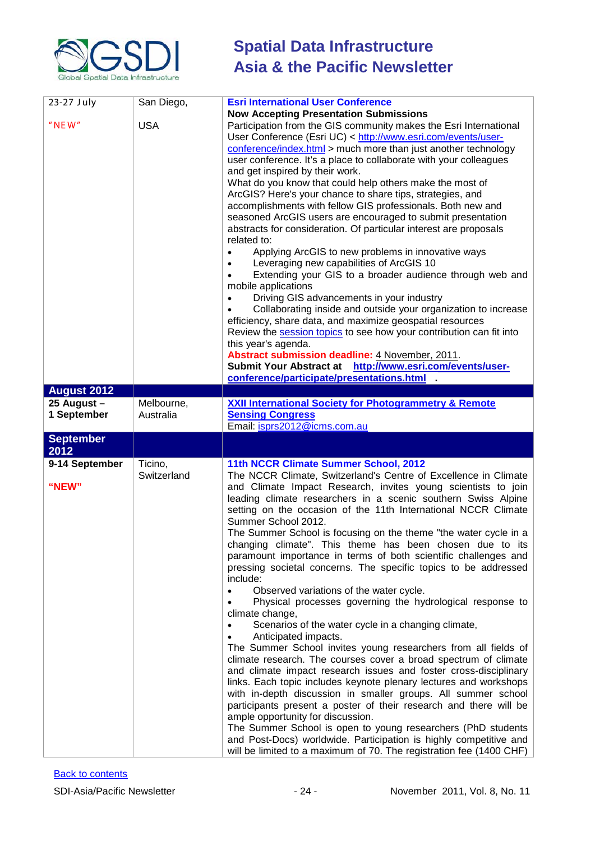

| 23-27 July               | San Diego,             | <b>Esri International User Conference</b><br><b>Now Accepting Presentation Submissions</b>                                                                                                                                                                                                                                                                                                                                                                                                                                                                                                                                                                                                                                                                                                                                                                                                                                                                                                                                                                                                                                                                                                                                                                                                                                                                                                                                                                                                           |
|--------------------------|------------------------|------------------------------------------------------------------------------------------------------------------------------------------------------------------------------------------------------------------------------------------------------------------------------------------------------------------------------------------------------------------------------------------------------------------------------------------------------------------------------------------------------------------------------------------------------------------------------------------------------------------------------------------------------------------------------------------------------------------------------------------------------------------------------------------------------------------------------------------------------------------------------------------------------------------------------------------------------------------------------------------------------------------------------------------------------------------------------------------------------------------------------------------------------------------------------------------------------------------------------------------------------------------------------------------------------------------------------------------------------------------------------------------------------------------------------------------------------------------------------------------------------|
| $"$ NEW"                 | <b>USA</b>             | Participation from the GIS community makes the Esri International<br>User Conference (Esri UC) < http://www.esri.com/events/user-<br>conference/index.html > much more than just another technology<br>user conference. It's a place to collaborate with your colleagues<br>and get inspired by their work.<br>What do you know that could help others make the most of<br>ArcGIS? Here's your chance to share tips, strategies, and<br>accomplishments with fellow GIS professionals. Both new and<br>seasoned ArcGIS users are encouraged to submit presentation<br>abstracts for consideration. Of particular interest are proposals<br>related to:<br>Applying ArcGIS to new problems in innovative ways<br>Leveraging new capabilities of ArcGIS 10<br>Extending your GIS to a broader audience through web and<br>mobile applications<br>Driving GIS advancements in your industry<br>Collaborating inside and outside your organization to increase<br>efficiency, share data, and maximize geospatial resources<br>Review the session topics to see how your contribution can fit into<br>this year's agenda.<br>Abstract submission deadline: 4 November, 2011.<br>Submit Your Abstract at http://www.esri.com/events/user-<br>conference/participate/presentations.html                                                                                                                                                                                                                    |
|                          |                        |                                                                                                                                                                                                                                                                                                                                                                                                                                                                                                                                                                                                                                                                                                                                                                                                                                                                                                                                                                                                                                                                                                                                                                                                                                                                                                                                                                                                                                                                                                      |
| <b>August 2012</b>       |                        |                                                                                                                                                                                                                                                                                                                                                                                                                                                                                                                                                                                                                                                                                                                                                                                                                                                                                                                                                                                                                                                                                                                                                                                                                                                                                                                                                                                                                                                                                                      |
| 25 August -              | Melbourne,             | <b>XXII International Society for Photogrammetry &amp; Remote</b>                                                                                                                                                                                                                                                                                                                                                                                                                                                                                                                                                                                                                                                                                                                                                                                                                                                                                                                                                                                                                                                                                                                                                                                                                                                                                                                                                                                                                                    |
| 1 September              | Australia              | <b>Sensing Congress</b><br>Email: isprs2012@icms.com.au                                                                                                                                                                                                                                                                                                                                                                                                                                                                                                                                                                                                                                                                                                                                                                                                                                                                                                                                                                                                                                                                                                                                                                                                                                                                                                                                                                                                                                              |
|                          |                        |                                                                                                                                                                                                                                                                                                                                                                                                                                                                                                                                                                                                                                                                                                                                                                                                                                                                                                                                                                                                                                                                                                                                                                                                                                                                                                                                                                                                                                                                                                      |
| <b>September</b><br>2012 |                        |                                                                                                                                                                                                                                                                                                                                                                                                                                                                                                                                                                                                                                                                                                                                                                                                                                                                                                                                                                                                                                                                                                                                                                                                                                                                                                                                                                                                                                                                                                      |
| 9-14 September<br>"NEW"  | Ticino,<br>Switzerland | 11th NCCR Climate Summer School, 2012<br>The NCCR Climate, Switzerland's Centre of Excellence in Climate<br>and Climate Impact Research, invites young scientists to join<br>leading climate researchers in a scenic southern Swiss Alpine<br>setting on the occasion of the 11th International NCCR Climate<br>Summer School 2012.<br>The Summer School is focusing on the theme "the water cycle in a<br>changing climate". This theme has been chosen due to its<br>paramount importance in terms of both scientific challenges and<br>pressing societal concerns. The specific topics to be addressed<br>include:<br>Observed variations of the water cycle.<br>Physical processes governing the hydrological response to<br>climate change,<br>Scenarios of the water cycle in a changing climate,<br>Anticipated impacts.<br>The Summer School invites young researchers from all fields of<br>climate research. The courses cover a broad spectrum of climate<br>and climate impact research issues and foster cross-disciplinary<br>links. Each topic includes keynote plenary lectures and workshops<br>with in-depth discussion in smaller groups. All summer school<br>participants present a poster of their research and there will be<br>ample opportunity for discussion.<br>The Summer School is open to young researchers (PhD students<br>and Post-Docs) worldwide. Participation is highly competitive and<br>will be limited to a maximum of 70. The registration fee (1400 CHF) |